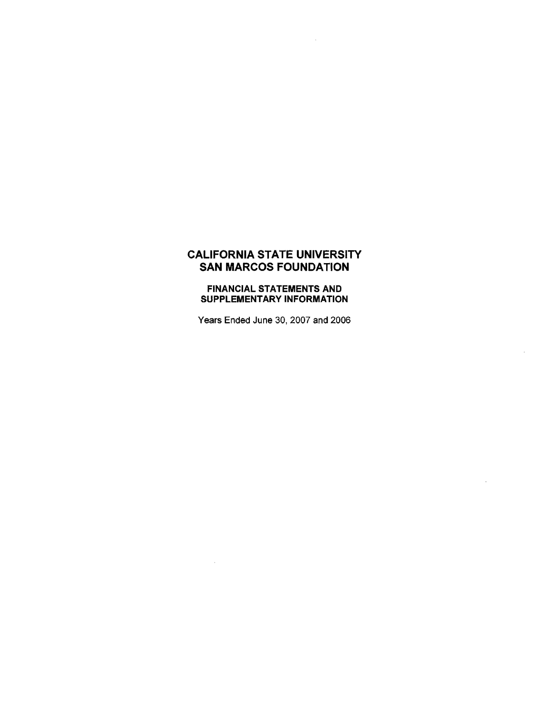$\ddot{\phantom{a}}$ 

# FINANCIAL STATEMENTS AND SUPPLEMENTARY INFORMATION

Years Ended June 30, 2007 and 2006

 $\sim 10^6$ 

J.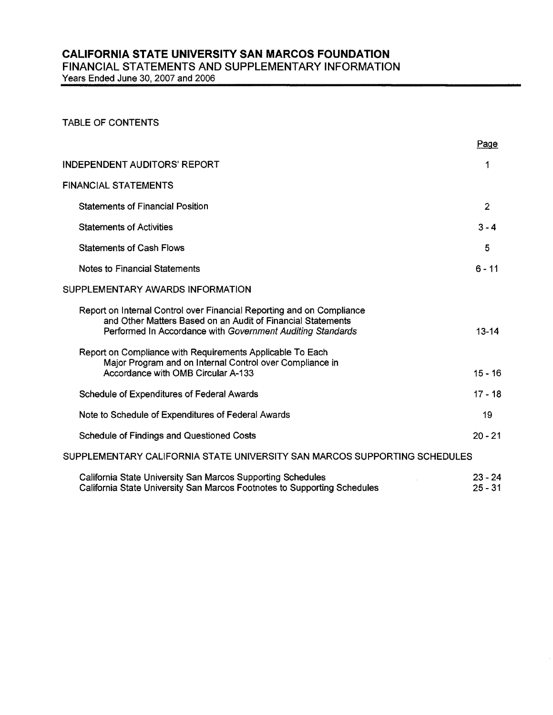FINANCIAL STATEMENTS AND SUPPLEMENTARY INFORMATION

Years Ended June 30, 2007 and 2006

# TABLE OF CONTENTS

|                                                                                                                                                                                                    | Page                   |
|----------------------------------------------------------------------------------------------------------------------------------------------------------------------------------------------------|------------------------|
| INDEPENDENT AUDITORS' REPORT                                                                                                                                                                       | 1                      |
| <b>FINANCIAL STATEMENTS</b>                                                                                                                                                                        |                        |
| <b>Statements of Financial Position</b>                                                                                                                                                            | $\overline{2}$         |
| <b>Statements of Activities</b>                                                                                                                                                                    | $3 - 4$                |
| <b>Statements of Cash Flows</b>                                                                                                                                                                    | 5                      |
| Notes to Financial Statements                                                                                                                                                                      | $6 - 11$               |
| SUPPLEMENTARY AWARDS INFORMATION                                                                                                                                                                   |                        |
| Report on Internal Control over Financial Reporting and on Compliance<br>and Other Matters Based on an Audit of Financial Statements<br>Performed In Accordance with Government Auditing Standards | $13 - 14$              |
| Report on Compliance with Requirements Applicable To Each<br>Major Program and on Internal Control over Compliance in<br>Accordance with OMB Circular A-133                                        | $15 - 16$              |
| Schedule of Expenditures of Federal Awards                                                                                                                                                         | $17 - 18$              |
| Note to Schedule of Expenditures of Federal Awards                                                                                                                                                 | 19                     |
| Schedule of Findings and Questioned Costs                                                                                                                                                          | $20 - 21$              |
| SUPPLEMENTARY CALIFORNIA STATE UNIVERSITY SAN MARCOS SUPPORTING SCHEDULES                                                                                                                          |                        |
| California State University San Marcos Supporting Schedules<br>California State University San Marcos Footnotes to Supporting Schedules                                                            | $23 - 24$<br>$25 - 31$ |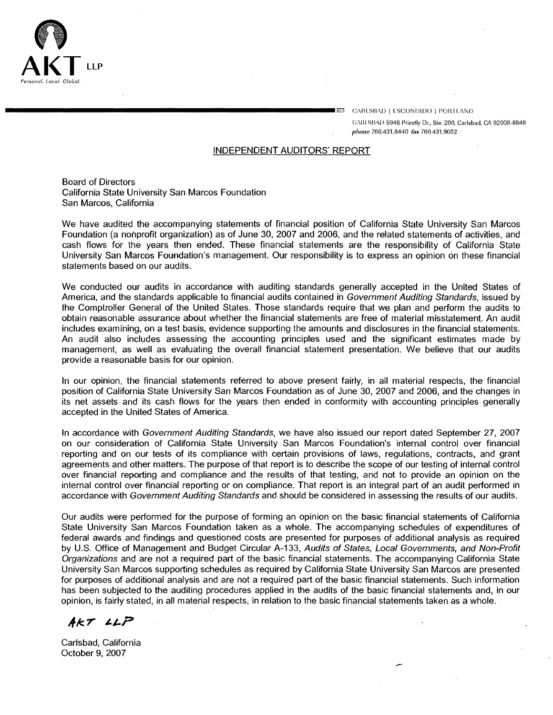

 $~\blacksquare~$  CARLSBAD | ESCONDIDO | PORTLAND (:) CARI SBAD 5946 Priestly Dr., Ste. 200, Carlsbad, CA 92008-8848 phone 760.431.8440 fax 760.431.9052

#### INDEPENDENT AUDITORS' REPORT

Board of Directors California State University San Marcos Foundation San Marcos, California

We have audited the accompanying statements of financial position of California State University San Marcos Foundation (a nonprofit organization) as of June 30, 2007 and 2006, and the related statements of activities, and cash flows for the years then ended. These financial statements are the responsibility of California State University San Marcos Foundation's management. Our responsibility is to express an opinion on these financial statements based on our audits.

We conducted our audits in accordance with auditing standards generally accepted in the United States of America, and the standards applicable to financial audits contained in Government Auditing Standards, issued by the Comptroller General of the United States. Those standards require that we plan and perform the audits to obtain reasonable assurance about whether the financial statements are free of material misstatement. An audit includes examining, on a test basis, evidence supporting the amounts and disclosures in the financial statements. An audit also includes assessing the accounting principles used and the significant estimates made by management, as well as evaluating the overall financial statement presentation. We believe that our audits provide a reasonable basis for our opinion.

In our opinion, the financial statements referred to above present fairly, in all material respects, the financial position of California State University San Marcos Foundation as of June 30, 2007 and 2006, and the changes in its net assets and its cash flows for the years then ended in conformity with accounting principles generally accepted in the United States of America.

In accordance with Government Auditing Standards, we have also issued our report dated September 27, 2007 on our consideration of California State University San Marcos Foundation's internal control over financial reporting and on our tests of its compliance with certain provisions of laws, regulations, contracts, and grant agreements and other matters. The purpose of that report is to describe the scope of our testing of internal control over financial reporting and compliance and the results of that testing, and not to provide an opinion on the internal control over financial reporting or on compliance. That report is an integral part of an audit performed in accordance with Government Auditing Standards and should be considered in assessing the results of our audits.

Our audits were performed for the purpose of forming an opinion on the basic financial statements of California State University San Marcos Foundation taken as a whole. The accompanying schedules of expenditures of federal awards and findings and questioned costs are presented for purposes of additional analysis as required by U.S. Office of Management and Budget Circular A-133, Audits of States, Local Governments, and Non-Profit Organizations and are not a required part of the basic financial statements. The accompanying California State University San Marcos supporting schedules as required by California State University San Marcos are presented for purposes of additional analysis and are not a required part of the basic financial statements. Such information has been subjected to the auditing procedures applied in the audits of the basic financial statements and, in our opinion, is fairly stated, in all material respects, in relation to the basic financial statements taken as a whole ..

AKT LLP

Carlsbad, California October 9, 2007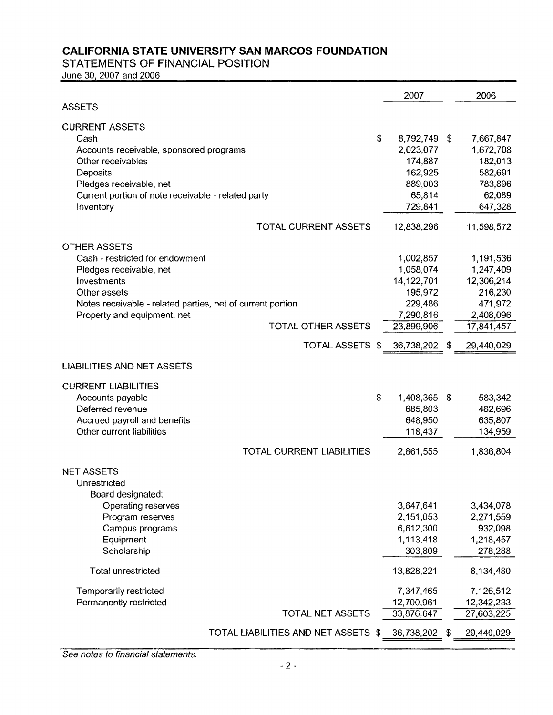STATEMENTS OF FINANCIAL POSITION

June 30, 2007 and 2006

|                                                            |                                     | 2007                         |     | 2006                    |
|------------------------------------------------------------|-------------------------------------|------------------------------|-----|-------------------------|
| <b>ASSETS</b>                                              |                                     |                              |     |                         |
| <b>CURRENT ASSETS</b>                                      |                                     |                              |     |                         |
| Cash<br>Accounts receivable, sponsored programs            |                                     | \$<br>8,792,749<br>2,023,077 | -\$ | 7,667,847<br>1,672,708  |
| Other receivables                                          |                                     | 174,887                      |     | 182,013                 |
| Deposits                                                   |                                     | 162,925                      |     | 582,691                 |
| Pledges receivable, net                                    |                                     | 889,003                      |     | 783,896                 |
| Current portion of note receivable - related party         |                                     | 65,814                       |     | 62,089                  |
| Inventory                                                  |                                     | 729,841                      |     | 647,328                 |
|                                                            | TOTAL CURRENT ASSETS                | 12,838,296                   |     | 11,598,572              |
| <b>OTHER ASSETS</b>                                        |                                     |                              |     |                         |
| Cash - restricted for endowment                            |                                     | 1,002,857                    |     | 1,191,536               |
| Pledges receivable, net                                    |                                     | 1,058,074                    |     | 1,247,409               |
| Investments                                                |                                     | 14,122,701                   |     | 12,306,214              |
| Other assets                                               |                                     | 195,972                      |     | 216,230                 |
| Notes receivable - related parties, net of current portion |                                     | 229,486                      |     | 471,972                 |
| Property and equipment, net                                | <b>TOTAL OTHER ASSETS</b>           | 7,290,816<br>23,899,906      |     | 2,408,096<br>17,841,457 |
|                                                            |                                     |                              |     |                         |
|                                                            | TOTAL ASSETS                        | \$<br>36,738,202             | \$  | 29,440,029              |
| <b>LIABILITIES AND NET ASSETS</b>                          |                                     |                              |     |                         |
| <b>CURRENT LIABILITIES</b>                                 |                                     |                              |     |                         |
| Accounts payable                                           |                                     | \$<br>1,408,365              | -S  | 583,342                 |
| Deferred revenue                                           |                                     | 685,803                      |     | 482,696                 |
| Accrued payroll and benefits                               |                                     | 648,950                      |     | 635,807                 |
| Other current liabilities                                  |                                     | 118,437                      |     | 134,959                 |
|                                                            | <b>TOTAL CURRENT LIABILITIES</b>    | 2,861,555                    |     | 1,836,804               |
|                                                            |                                     |                              |     |                         |
| <b>NET ASSETS</b><br>Unrestricted                          |                                     |                              |     |                         |
| Board designated:                                          |                                     |                              |     |                         |
| Operating reserves                                         |                                     | 3,647,641                    |     | 3,434,078               |
| Program reserves                                           |                                     | 2,151,053                    |     | 2,271,559               |
| Campus programs                                            |                                     | 6,612,300                    |     | 932,098                 |
| Equipment                                                  |                                     | 1,113,418                    |     | 1,218,457               |
| Scholarship                                                |                                     | 303,809                      |     | 278,288                 |
| Total unrestricted                                         |                                     | 13,828,221                   |     | 8,134,480               |
| Temporarily restricted                                     |                                     | 7,347,465                    |     | 7,126,512               |
| Permanently restricted                                     |                                     | 12,700,961                   |     | 12,342,233              |
|                                                            | TOTAL NET ASSETS                    | 33,876,647                   |     | 27,603,225              |
|                                                            | TOTAL LIABILITIES AND NET ASSETS \$ | 36,738,202 \$                |     | 29,440,029              |

See notes to financial statements.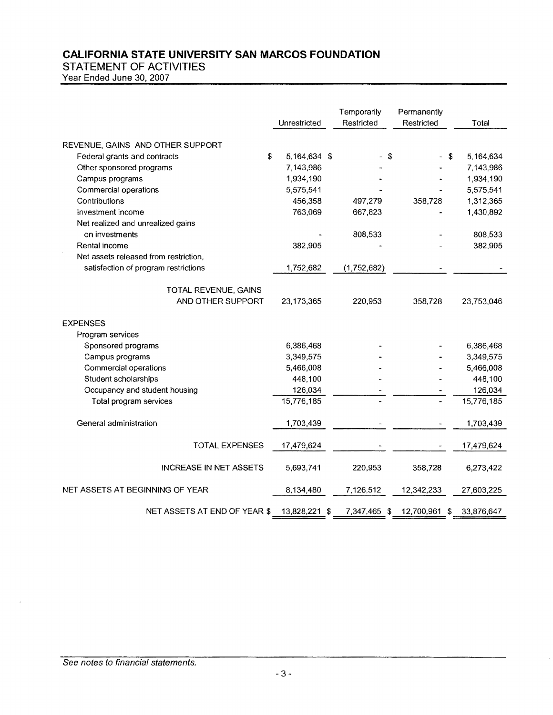**STATEMENT OF ACTIVITIES**  Year Ended June 30, 2007

|                                       | Unrestricted       |     | Temporarily<br>Restricted | Permanently<br>Restricted | Total      |
|---------------------------------------|--------------------|-----|---------------------------|---------------------------|------------|
| REVENUE, GAINS AND OTHER SUPPORT      |                    |     |                           |                           |            |
| Federal grants and contracts          | \$<br>5,164,634 \$ |     |                           | \$<br>- \$                | 5,164,634  |
| Other sponsored programs              | 7,143,986          |     |                           |                           | 7,143,986  |
| Campus programs                       | 1,934,190          |     |                           |                           | 1,934,190  |
| Commercial operations                 | 5,575,541          |     |                           |                           | 5,575,541  |
| Contributions                         | 456,358            |     | 497,279                   | 358,728                   | 1,312,365  |
| Investment income                     | 763,069            |     | 667,823                   |                           | 1,430,892  |
| Net realized and unrealized gains     |                    |     |                           |                           |            |
| on investments                        |                    |     | 808,533                   |                           | 808,533    |
| Rental income                         | 382,905            |     |                           |                           | 382,905    |
| Net assets released from restriction, |                    |     |                           |                           |            |
| satisfaction of program restrictions  | 1,752,682          |     | (1,752,682)               |                           |            |
| TOTAL REVENUE, GAINS                  |                    |     |                           |                           |            |
| AND OTHER SUPPORT                     | 23, 173, 365       |     | 220,953                   | 358,728                   | 23,753,046 |
| <b>EXPENSES</b>                       |                    |     |                           |                           |            |
| Program services                      |                    |     |                           |                           |            |
| Sponsored programs                    | 6,386,468          |     |                           |                           | 6,386,468  |
| Campus programs                       | 3,349,575          |     |                           |                           | 3,349,575  |
| Commercial operations                 | 5,466,008          |     |                           |                           | 5,466,008  |
| Student scholarships                  | 448,100            |     |                           |                           | 448,100    |
| Occupancy and student housing         | 126,034            |     |                           |                           | 126,034    |
| Total program services                | 15,776,185         |     |                           |                           | 15,776,185 |
| General administration                | 1,703,439          |     |                           |                           | 1,703,439  |
| <b>TOTAL EXPENSES</b>                 | 17,479,624         |     |                           |                           | 17,479,624 |
| <b>INCREASE IN NET ASSETS</b>         | 5,693,741          |     | 220,953                   | 358,728                   | 6,273,422  |
| NET ASSETS AT BEGINNING OF YEAR       | 8,134,480          |     | 7,126,512                 | 12,342,233                | 27,603,225 |
| NET ASSETS AT END OF YEAR \$          | 13,828,221         | -\$ | 7,347,465 \$              | 12,700,961<br>- \$        | 33,876,647 |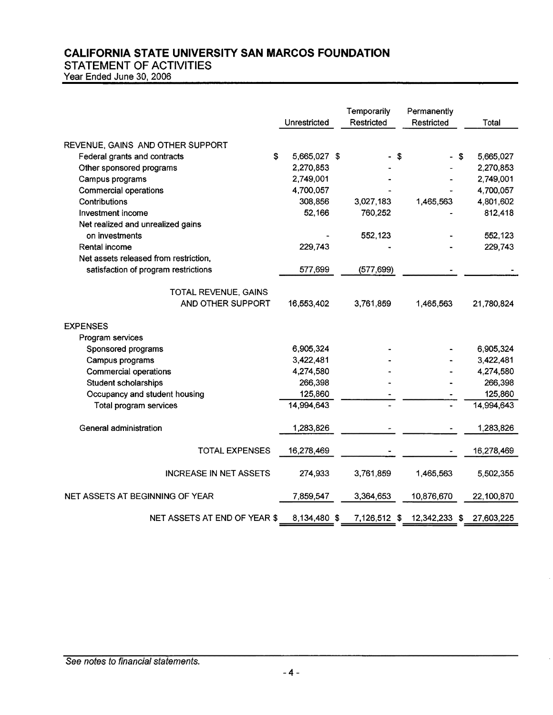**STATEMENT** OF ACTIVITIES

Year Ended June 30, 2006

|                                       |     | Unrestricted | Temporarily<br>Restricted | Permanently<br>Restricted | Total      |
|---------------------------------------|-----|--------------|---------------------------|---------------------------|------------|
| REVENUE, GAINS AND OTHER SUPPORT      |     |              |                           |                           |            |
| Federal grants and contracts          | \$. | 5,665,027 \$ |                           | \$<br>- \$                | 5,665,027  |
| Other sponsored programs              |     | 2,270,853    |                           |                           | 2,270,853  |
| Campus programs                       |     | 2,749,001    |                           |                           | 2,749,001  |
| <b>Commercial operations</b>          |     | 4,700,057    |                           |                           | 4,700,057  |
| Contributions                         |     | 308,856      | 3,027,183                 | 1,465,563                 | 4,801,602  |
| Investment income                     |     | 52,166       | 760,252                   |                           | 812,418    |
| Net realized and unrealized gains     |     |              |                           |                           |            |
| on investments                        |     |              | 552,123                   |                           | 552,123    |
| Rental income                         |     | 229,743      |                           |                           | 229,743    |
| Net assets released from restriction, |     |              |                           |                           |            |
| satisfaction of program restrictions  |     | 577,699      | (577, 699)                |                           |            |
| TOTAL REVENUE, GAINS                  |     |              |                           |                           |            |
| AND OTHER SUPPORT                     |     | 16,553,402   | 3,761,859                 | 1,465,563                 | 21,780,824 |
| <b>EXPENSES</b>                       |     |              |                           |                           |            |
| Program services                      |     |              |                           |                           |            |
| Sponsored programs                    |     | 6,905,324    |                           |                           | 6,905,324  |
| Campus programs                       |     | 3,422,481    |                           |                           | 3,422,481  |
| <b>Commercial operations</b>          |     | 4,274,580    |                           |                           | 4,274,580  |
| Student scholarships                  |     | 266,398      |                           |                           | 266,398    |
| Occupancy and student housing         |     | 125,860      |                           |                           | 125,860    |
| Total program services                |     | 14,994,643   |                           |                           | 14,994,643 |
| General administration                |     | 1,283,826    |                           |                           | 1,283,826  |
| TOTAL EXPENSES                        |     | 16,278,469   |                           |                           | 16,278,469 |
| <b>INCREASE IN NET ASSETS</b>         |     | 274,933      | 3,761,859                 | 1,465,563                 | 5,502,355  |
| NET ASSETS AT BEGINNING OF YEAR       |     | 7,859,547    | 3,364,653                 | 10,876,670                | 22,100,870 |
| NET ASSETS AT END OF YEAR \$          |     | 8,134,480 \$ | 7,126,512 \$              | 12,342,233 \$             | 27,603,225 |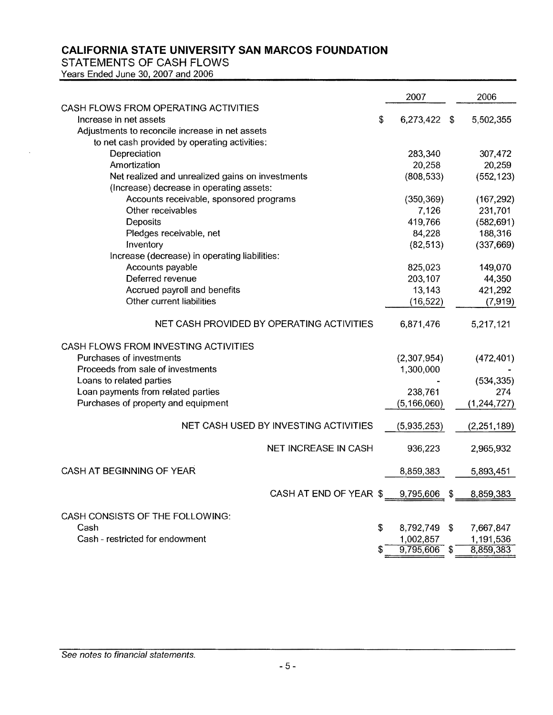# STATEMENTS OF CASH FLOWS

Years Ended June 30, 2007 and 2006

| CASH FLOWS FROM OPERATING ACTIVITIES<br>\$<br>Increase in net assets<br>6,273,422 \$<br>5,502,355<br>Adjustments to reconcile increase in net assets<br>to net cash provided by operating activities:<br>Depreciation<br>283,340<br>307,472<br>Amortization<br>20,258<br>20,259<br>Net realized and unrealized gains on investments<br>(808, 533)<br>(552, 123)<br>(Increase) decrease in operating assets:<br>Accounts receivable, sponsored programs<br>(350, 369)<br>(167, 292)<br>Other receivables<br>7,126<br>231,701<br>419,766<br>Deposits<br>(582, 691)<br>Pledges receivable, net<br>188,316<br>84,228<br>Inventory<br>(337, 669)<br>(82, 513)<br>Increase (decrease) in operating liabilities:<br>Accounts payable<br>825,023<br>149,070<br>Deferred revenue<br>203,107<br>44,350<br>Accrued payroll and benefits<br>13,143<br>421,292<br>Other current liabilities<br>(16, 522)<br>(7,919)<br>NET CASH PROVIDED BY OPERATING ACTIVITIES<br>6,871,476<br>5,217,121<br>CASH FLOWS FROM INVESTING ACTIVITIES<br>Purchases of investments<br>(2,307,954)<br>(472, 401)<br>Proceeds from sale of investments<br>1,300,000<br>Loans to related parties<br>(534, 335)<br>Loan payments from related parties<br>238,761<br>274<br>Purchases of property and equipment<br>(5, 166, 060)<br>(1, 244, 727)<br>NET CASH USED BY INVESTING ACTIVITIES<br>(5,935,253)<br>(2, 251, 189)<br><b>NET INCREASE IN CASH</b><br>936,223<br>2,965,932<br>CASH AT BEGINNING OF YEAR<br>8,859,383<br>5,893,451<br>CASH AT END OF YEAR \$ 9,795,606<br>\$<br>8,859,383<br>CASH CONSISTS OF THE FOLLOWING:<br>Cash<br>\$<br>8,792,749<br>$\mathfrak s$<br>7,667,847<br>Cash - restricted for endowment<br>1,002,857<br>1,191,536<br>\$<br>$9,795,606$ \$<br>8,859,383 |  | 2007 | 2006 |
|---------------------------------------------------------------------------------------------------------------------------------------------------------------------------------------------------------------------------------------------------------------------------------------------------------------------------------------------------------------------------------------------------------------------------------------------------------------------------------------------------------------------------------------------------------------------------------------------------------------------------------------------------------------------------------------------------------------------------------------------------------------------------------------------------------------------------------------------------------------------------------------------------------------------------------------------------------------------------------------------------------------------------------------------------------------------------------------------------------------------------------------------------------------------------------------------------------------------------------------------------------------------------------------------------------------------------------------------------------------------------------------------------------------------------------------------------------------------------------------------------------------------------------------------------------------------------------------------------------------------------------------------------------------------------------------------------------------------------------------------------------|--|------|------|
|                                                                                                                                                                                                                                                                                                                                                                                                                                                                                                                                                                                                                                                                                                                                                                                                                                                                                                                                                                                                                                                                                                                                                                                                                                                                                                                                                                                                                                                                                                                                                                                                                                                                                                                                                         |  |      |      |
|                                                                                                                                                                                                                                                                                                                                                                                                                                                                                                                                                                                                                                                                                                                                                                                                                                                                                                                                                                                                                                                                                                                                                                                                                                                                                                                                                                                                                                                                                                                                                                                                                                                                                                                                                         |  |      |      |
|                                                                                                                                                                                                                                                                                                                                                                                                                                                                                                                                                                                                                                                                                                                                                                                                                                                                                                                                                                                                                                                                                                                                                                                                                                                                                                                                                                                                                                                                                                                                                                                                                                                                                                                                                         |  |      |      |
|                                                                                                                                                                                                                                                                                                                                                                                                                                                                                                                                                                                                                                                                                                                                                                                                                                                                                                                                                                                                                                                                                                                                                                                                                                                                                                                                                                                                                                                                                                                                                                                                                                                                                                                                                         |  |      |      |
|                                                                                                                                                                                                                                                                                                                                                                                                                                                                                                                                                                                                                                                                                                                                                                                                                                                                                                                                                                                                                                                                                                                                                                                                                                                                                                                                                                                                                                                                                                                                                                                                                                                                                                                                                         |  |      |      |
|                                                                                                                                                                                                                                                                                                                                                                                                                                                                                                                                                                                                                                                                                                                                                                                                                                                                                                                                                                                                                                                                                                                                                                                                                                                                                                                                                                                                                                                                                                                                                                                                                                                                                                                                                         |  |      |      |
|                                                                                                                                                                                                                                                                                                                                                                                                                                                                                                                                                                                                                                                                                                                                                                                                                                                                                                                                                                                                                                                                                                                                                                                                                                                                                                                                                                                                                                                                                                                                                                                                                                                                                                                                                         |  |      |      |
|                                                                                                                                                                                                                                                                                                                                                                                                                                                                                                                                                                                                                                                                                                                                                                                                                                                                                                                                                                                                                                                                                                                                                                                                                                                                                                                                                                                                                                                                                                                                                                                                                                                                                                                                                         |  |      |      |
|                                                                                                                                                                                                                                                                                                                                                                                                                                                                                                                                                                                                                                                                                                                                                                                                                                                                                                                                                                                                                                                                                                                                                                                                                                                                                                                                                                                                                                                                                                                                                                                                                                                                                                                                                         |  |      |      |
|                                                                                                                                                                                                                                                                                                                                                                                                                                                                                                                                                                                                                                                                                                                                                                                                                                                                                                                                                                                                                                                                                                                                                                                                                                                                                                                                                                                                                                                                                                                                                                                                                                                                                                                                                         |  |      |      |
|                                                                                                                                                                                                                                                                                                                                                                                                                                                                                                                                                                                                                                                                                                                                                                                                                                                                                                                                                                                                                                                                                                                                                                                                                                                                                                                                                                                                                                                                                                                                                                                                                                                                                                                                                         |  |      |      |
|                                                                                                                                                                                                                                                                                                                                                                                                                                                                                                                                                                                                                                                                                                                                                                                                                                                                                                                                                                                                                                                                                                                                                                                                                                                                                                                                                                                                                                                                                                                                                                                                                                                                                                                                                         |  |      |      |
|                                                                                                                                                                                                                                                                                                                                                                                                                                                                                                                                                                                                                                                                                                                                                                                                                                                                                                                                                                                                                                                                                                                                                                                                                                                                                                                                                                                                                                                                                                                                                                                                                                                                                                                                                         |  |      |      |
|                                                                                                                                                                                                                                                                                                                                                                                                                                                                                                                                                                                                                                                                                                                                                                                                                                                                                                                                                                                                                                                                                                                                                                                                                                                                                                                                                                                                                                                                                                                                                                                                                                                                                                                                                         |  |      |      |
|                                                                                                                                                                                                                                                                                                                                                                                                                                                                                                                                                                                                                                                                                                                                                                                                                                                                                                                                                                                                                                                                                                                                                                                                                                                                                                                                                                                                                                                                                                                                                                                                                                                                                                                                                         |  |      |      |
|                                                                                                                                                                                                                                                                                                                                                                                                                                                                                                                                                                                                                                                                                                                                                                                                                                                                                                                                                                                                                                                                                                                                                                                                                                                                                                                                                                                                                                                                                                                                                                                                                                                                                                                                                         |  |      |      |
|                                                                                                                                                                                                                                                                                                                                                                                                                                                                                                                                                                                                                                                                                                                                                                                                                                                                                                                                                                                                                                                                                                                                                                                                                                                                                                                                                                                                                                                                                                                                                                                                                                                                                                                                                         |  |      |      |
|                                                                                                                                                                                                                                                                                                                                                                                                                                                                                                                                                                                                                                                                                                                                                                                                                                                                                                                                                                                                                                                                                                                                                                                                                                                                                                                                                                                                                                                                                                                                                                                                                                                                                                                                                         |  |      |      |
|                                                                                                                                                                                                                                                                                                                                                                                                                                                                                                                                                                                                                                                                                                                                                                                                                                                                                                                                                                                                                                                                                                                                                                                                                                                                                                                                                                                                                                                                                                                                                                                                                                                                                                                                                         |  |      |      |
|                                                                                                                                                                                                                                                                                                                                                                                                                                                                                                                                                                                                                                                                                                                                                                                                                                                                                                                                                                                                                                                                                                                                                                                                                                                                                                                                                                                                                                                                                                                                                                                                                                                                                                                                                         |  |      |      |
|                                                                                                                                                                                                                                                                                                                                                                                                                                                                                                                                                                                                                                                                                                                                                                                                                                                                                                                                                                                                                                                                                                                                                                                                                                                                                                                                                                                                                                                                                                                                                                                                                                                                                                                                                         |  |      |      |
|                                                                                                                                                                                                                                                                                                                                                                                                                                                                                                                                                                                                                                                                                                                                                                                                                                                                                                                                                                                                                                                                                                                                                                                                                                                                                                                                                                                                                                                                                                                                                                                                                                                                                                                                                         |  |      |      |
|                                                                                                                                                                                                                                                                                                                                                                                                                                                                                                                                                                                                                                                                                                                                                                                                                                                                                                                                                                                                                                                                                                                                                                                                                                                                                                                                                                                                                                                                                                                                                                                                                                                                                                                                                         |  |      |      |
|                                                                                                                                                                                                                                                                                                                                                                                                                                                                                                                                                                                                                                                                                                                                                                                                                                                                                                                                                                                                                                                                                                                                                                                                                                                                                                                                                                                                                                                                                                                                                                                                                                                                                                                                                         |  |      |      |
|                                                                                                                                                                                                                                                                                                                                                                                                                                                                                                                                                                                                                                                                                                                                                                                                                                                                                                                                                                                                                                                                                                                                                                                                                                                                                                                                                                                                                                                                                                                                                                                                                                                                                                                                                         |  |      |      |
|                                                                                                                                                                                                                                                                                                                                                                                                                                                                                                                                                                                                                                                                                                                                                                                                                                                                                                                                                                                                                                                                                                                                                                                                                                                                                                                                                                                                                                                                                                                                                                                                                                                                                                                                                         |  |      |      |
|                                                                                                                                                                                                                                                                                                                                                                                                                                                                                                                                                                                                                                                                                                                                                                                                                                                                                                                                                                                                                                                                                                                                                                                                                                                                                                                                                                                                                                                                                                                                                                                                                                                                                                                                                         |  |      |      |
|                                                                                                                                                                                                                                                                                                                                                                                                                                                                                                                                                                                                                                                                                                                                                                                                                                                                                                                                                                                                                                                                                                                                                                                                                                                                                                                                                                                                                                                                                                                                                                                                                                                                                                                                                         |  |      |      |
|                                                                                                                                                                                                                                                                                                                                                                                                                                                                                                                                                                                                                                                                                                                                                                                                                                                                                                                                                                                                                                                                                                                                                                                                                                                                                                                                                                                                                                                                                                                                                                                                                                                                                                                                                         |  |      |      |
|                                                                                                                                                                                                                                                                                                                                                                                                                                                                                                                                                                                                                                                                                                                                                                                                                                                                                                                                                                                                                                                                                                                                                                                                                                                                                                                                                                                                                                                                                                                                                                                                                                                                                                                                                         |  |      |      |
|                                                                                                                                                                                                                                                                                                                                                                                                                                                                                                                                                                                                                                                                                                                                                                                                                                                                                                                                                                                                                                                                                                                                                                                                                                                                                                                                                                                                                                                                                                                                                                                                                                                                                                                                                         |  |      |      |
|                                                                                                                                                                                                                                                                                                                                                                                                                                                                                                                                                                                                                                                                                                                                                                                                                                                                                                                                                                                                                                                                                                                                                                                                                                                                                                                                                                                                                                                                                                                                                                                                                                                                                                                                                         |  |      |      |
|                                                                                                                                                                                                                                                                                                                                                                                                                                                                                                                                                                                                                                                                                                                                                                                                                                                                                                                                                                                                                                                                                                                                                                                                                                                                                                                                                                                                                                                                                                                                                                                                                                                                                                                                                         |  |      |      |
|                                                                                                                                                                                                                                                                                                                                                                                                                                                                                                                                                                                                                                                                                                                                                                                                                                                                                                                                                                                                                                                                                                                                                                                                                                                                                                                                                                                                                                                                                                                                                                                                                                                                                                                                                         |  |      |      |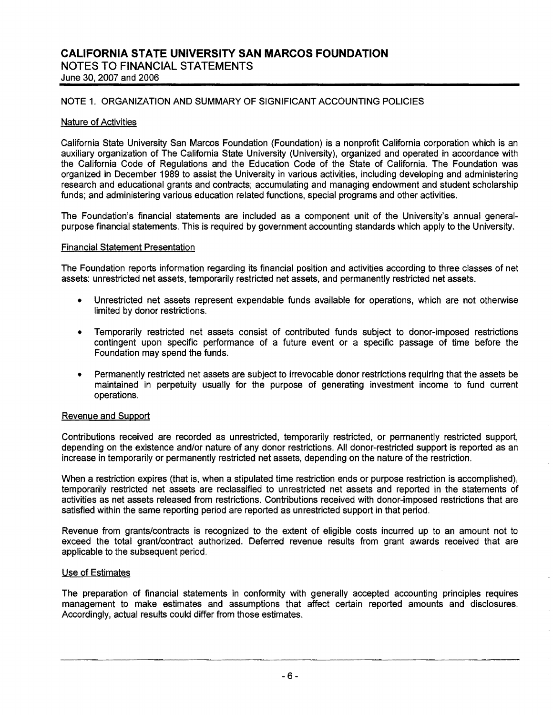# **CALIFORNIA STATE UNIVERSITY SAN MARCOS FOUNDATION**  NOTES TO FINANCIAL STATEMENTS June 30, 2007 and 2006

# NOTE 1. ORGANIZATION AND SUMMARY OF SIGNIFICANT ACCOUNTING POLICIES

### Nature of Activities

California State University San Marcos Foundation (Foundation) is a nonprofit California corporation which is an auxiliary organization of The California State University (University), organized and operated in accordance with the California Code of Regulations and the Education Code of the State of California. The Foundation was organized in December 1989 to assist the University in various activities, including developing and administering research and educational grants and contracts; accumulating and managing endowment and student scholarship funds; and administering various education related functions, special programs and other activities.

The Foundation's financial statements are included as a component unit of the University's annual generalpurpose financial statements. This is required by government accounting standards which apply to the University.

#### Financial Statement Presentation

The Foundation reports information regarding its financial position and activities according to three classes of net assets: unrestricted net assets, temporarily restricted net assets, and permanently restricted net assets.

- Unrestricted net assets represent expendable funds available for operations, which are not otherwise limited by donor restrictions.
- Temporarily restricted net assets consist of contributed funds subject to donor-imposed restrictions contingent upon specific performance of a future event or a specific passage of time before the Foundation may spend the funds.
- Permanently restricted net assets are subject to irrevocable donor restrictions requiring that the assets be maintained in perpetuity usually for the purpose of generating investment income to fund current operations.

#### Revenue and Support

Contributions received are recorded as unrestricted, temporarily restricted, or permanently restricted support, depending on the existence and/or nature of any donor restrictions. All donor-restricted support is reported as an increase in temporarily or permanently restricted net assets, depending on the nature of the restriction.

When a restriction expires (that is, when a stipulated time restriction ends or purpose restriction is accomplished), temporarily restricted net assets are reclassified to unrestricted net assets and reported in the statements of activities as net assets released from restrictions. Contributions received with donor-imposed restrictions that are satisfied within the same reporting period are reported as unrestricted support in that period.

Revenue from grants/contracts is recognized to the extent of eligible costs incurred up to an amount not to exceed the total grant/contract authorized. Deferred revenue results from grant awards received that are applicable to the subsequent period.

#### Use of Estimates

The preparation of financial statements in conformity with generally accepted accounting principles requires management to make estimates and assumptions that affect certain reported amounts and disclosures. Accordingly, actual results could differ from those estimates.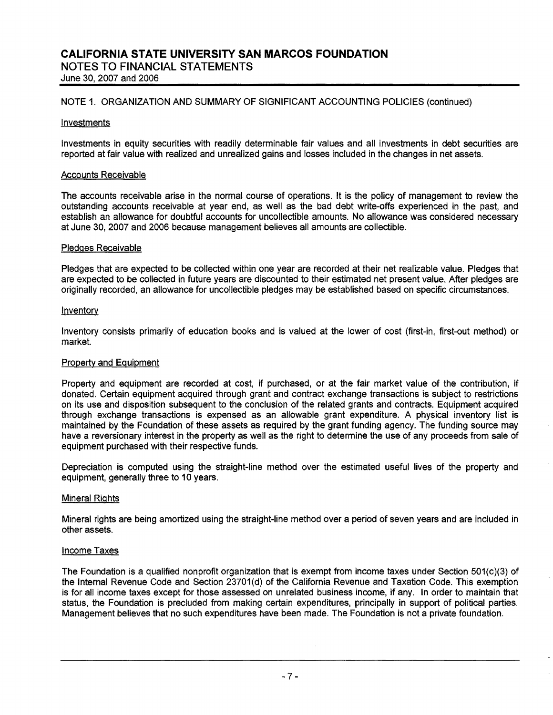# **CALIFORNIA STATE UNIVERSITY SAN MARCOS FOUNDATION**  NOTES TO FINANCIAL STATEMENTS June 30, 2007 and 2006

# NOTE 1. ORGANIZATION AND SUMMARY OF SIGNIFICANT ACCOUNTING POLICIES (continued)

### Investments

Investments in equity securities with readily determinable fair values and all investments in debt securities are reported at fair value with realized and unrealized gains and losses included in the changes in net assets.

### Accounts Receivable

The accounts receivable arise in the normal course of operations. It is the policy of management to review the outstanding accounts receivable at year end, as well as the bad debt write-offs experienced in the past, and establish an allowance for doubtful accounts for uncollectible amounts. No allowance was considered necessary at June 30, 2007 and 2006 because management believes all amounts are collectible.

#### Pledges Receivable

Pledges that are expected to be collected within one year are recorded at their net realizable value. Pledges that are expected to be collected in future years are discounted to their estimated net present value. After pledges are originally recorded, an allowance for uncollectible pledges may be established based on specific circumstances.

#### Inventory

Inventory consists primarily of education books and is valued at the lower of cost (first-in, first-out method) or market.

### Property and Equipment

Property and equipment are recorded at cost, if purchased, or at the fair market value of the contribution, if donated. Certain equipment acquired through grant and contract exchange transactions is subject to restrictions on its use and disposition subsequent to the conclusion of the related grants and contracts. Equipment acquired through exchange transactions is expensed as an allowable grant expenditure. A physical inventory list is maintained by the Foundation of these assets as required by the grant funding agency. The funding source may have a reversionary interest in the property as well as the right to determine the use of any proceeds from sale of equipment purchased with their respective funds.

Depreciation is computed using the straight-line method over the estimated useful lives of the property and equipment, generally three to 10 years.

# **Mineral Rights**

Mineral rights are being amortized using the straight-line method over a period of seven years and are included in other assets.

#### Income Taxes

The Foundation is a qualified nonprofit organization that is exempt from income taxes under Section 501(c)(3) of the Internal Revenue Code and Section 23701(d) of the California Revenue and Taxation Code. This exemption is for all income taxes except for those assessed on unrelated business income, if any. In order to maintain that status, the Foundation is precluded from making certain expenditures, principally in support of political parties. Management believes that no such expenditures have been made. The Foundation is not a private foundation.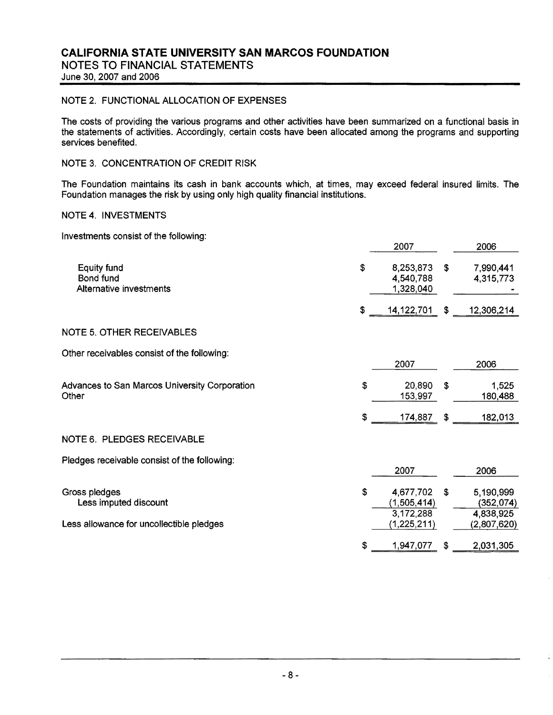# NOTE 2. FUNCTIONAL ALLOCATION OF EXPENSES

The costs of providing the various programs and other activities have been summarized on a functional basis in the statements of activities. Accordingly, certain costs have been allocated among the programs and supporting services benefited.

# NOTE 3. CONCENTRATION OF CREDIT RISK

The Foundation maintains its cash in bank accounts which, at times, may exceed federal insured limits. The Foundation manages the risk by using only high quality financial institutions.

# NOTE 4. INVESTMENTS

Investments consist of the following:

|                                                            | 2007                                        | 2006                                       |
|------------------------------------------------------------|---------------------------------------------|--------------------------------------------|
| <b>Equity fund</b><br>Bond fund<br>Alternative investments | \$<br>8,253,873<br>4,540,788<br>1,328,040   | \$<br>7,990,441<br>4,315,773               |
|                                                            | \$<br>14,122,701                            | \$<br>12,306,214                           |
| NOTE 5. OTHER RECEIVABLES                                  |                                             |                                            |
| Other receivables consist of the following:                | 2007                                        | 2006                                       |
| Advances to San Marcos University Corporation<br>Other     | \$<br>20,890<br>153,997                     | \$<br>1,525<br>180,488                     |
|                                                            | \$<br>174,887                               | \$<br>182,013                              |
| NOTE 6. PLEDGES RECEIVABLE                                 |                                             |                                            |
| Pledges receivable consist of the following:               | 2007                                        | 2006                                       |
| Gross pledges<br>Less imputed discount                     | \$<br>4,677,702<br>(1,505,414)<br>3,172,288 | \$<br>5,190,999<br>(352, 074)<br>4,838,925 |
| Less allowance for uncollectible pledges                   | (1,225,211)                                 | (2,807,620)                                |

\$ 1,947,077 \$ 2,031,305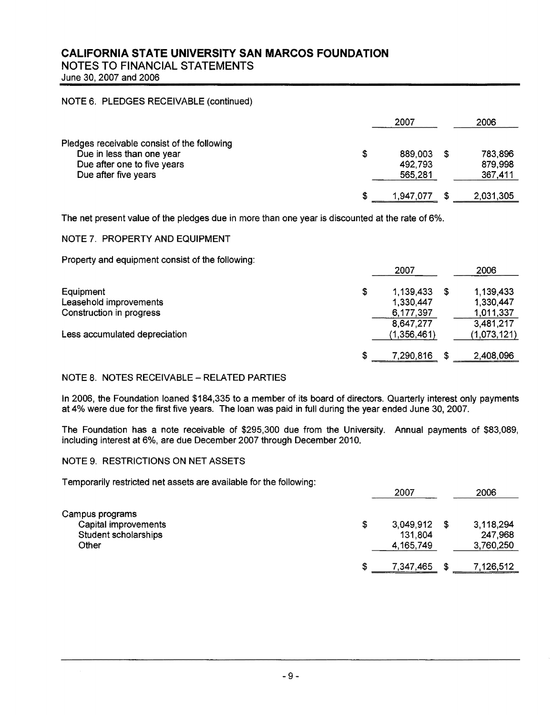# **NOTES** TO FINANCIAL STATEMENTS

June 30, 2007 and 2006

# NOTE 6. PLEDGES RECEIVABLE (continued)

|                                             |    | 2007      | 2006      |
|---------------------------------------------|----|-----------|-----------|
| Pledges receivable consist of the following |    |           |           |
| Due in less than one year                   | \$ | 889,003   | 783,896   |
| Due after one to five years                 |    | 492,793   | 879,998   |
| Due after five years                        |    | 565,281   | 367,411   |
|                                             | S  | 1,947,077 | 2,031,305 |

The net present value of the pledges due in more than one year is discounted at the rate of 6%.

# NOTE 7. PROPERTY AND EQUIPMENT

Property and equipment consist of the following:

|                               |    | 2007        |   | 2006        |
|-------------------------------|----|-------------|---|-------------|
| Equipment                     | \$ | 1,139,433   |   | 1,139,433   |
| Leasehold improvements        |    | 1,330,447   |   | 1,330,447   |
| Construction in progress      |    | 6,177,397   |   | 1,011,337   |
|                               |    | 8,647,277   |   | 3,481,217   |
| Less accumulated depreciation |    | (1,356,461) |   | (1,073,121) |
|                               | S  | 7,290,816   | S | 2,408,096   |

and a series

# NOTE 8. NOTES RECEIVABLE- RELATED PARTIES

In 2006, the Foundation loaned \$184,335 to a member of its board of directors. Quarterly interest only payments at 4% were due for the first five years. The loan was paid in full during the year ended June 30, 2007.

The Foundation has a note receivable of \$295,300 due from the University. Annual payments of \$83,089, including interest at 6%, are due December 2007 through December 2010.

# NOTE 9. RESTRICTIONS ON NET ASSETS

Temporarily restricted net assets are available for the following:

|                      |   | 2007        | 2006      |
|----------------------|---|-------------|-----------|
| Campus programs      |   |             |           |
| Capital improvements | S | 3,049,912   | 3,118,294 |
| Student scholarships |   | 131,804     | 247,968   |
| Other                |   | 4, 165, 749 | 3,760,250 |
|                      | S | 7,347,465   | 7,126,512 |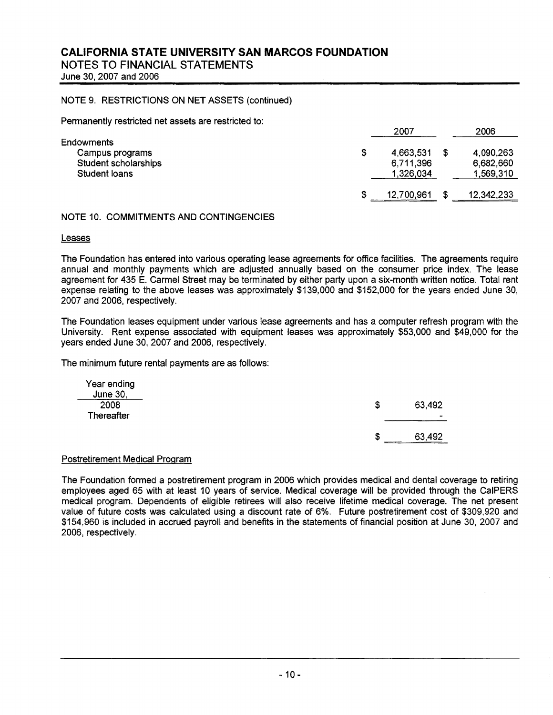June 30, 2007 and 2006

# NOTE 9. RESTRICTIONS ON NET ASSETS (continued)

Permanently restricted net assets are restricted to:

|                                                                               |    | 2007                                | 2006                                |
|-------------------------------------------------------------------------------|----|-------------------------------------|-------------------------------------|
| <b>Endowments</b><br>Campus programs<br>Student scholarships<br>Student loans | \$ | 4,663,531<br>6,711,396<br>1,326,034 | 4,090,263<br>6,682,660<br>1,569,310 |
|                                                                               | S  | 12,700,961                          | 12,342,233                          |

# NOTE 10. COMMITMENTS AND CONTINGENCIES

#### Leases

The Foundation has entered into various operating lease agreements for office facilities. The agreements require annual and monthly payments which are adjusted annually based on the consumer price index. The lease agreement for 435 E. Carmel Street may be terminated by either party upon a six-month written notice. Total rent expense relating to the above leases was approximately \$139,000 and \$152,000 for the years ended June 30, 2007 and 2006, respectively.

The Foundation leases equipment under various lease agreements and has a computer refresh program with the University. Rent expense associated with equipment leases was approximately \$53,000 and \$49,000 for the years ended June 30, 2007 and 2006, respectively.

The minimum future rental payments are as fellows:

|                                | S  | 63,492<br>--------- |
|--------------------------------|----|---------------------|
| 2008<br>Thereafter             | \$ | 63,492<br>$\bullet$ |
| Year ending<br><b>June 30,</b> |    |                     |

#### Postretirement Medical Program

The Foundation formed a postretirement program in 2006 which provides medical and dental coverage to retiring employees aged 65 with at least 10 years of service. Medical coverage will be provided through the CalPERS medical program. Dependents of eligible retirees will also receive lifetime medical coverage. The net present value of future costs was calculated using a discount rate of 6%. Future postretirement cost of \$309,920 and \$154,960 is included in accrued payroll and benefits in the statements of financial position at June 30, 2007 and 2006, respectively.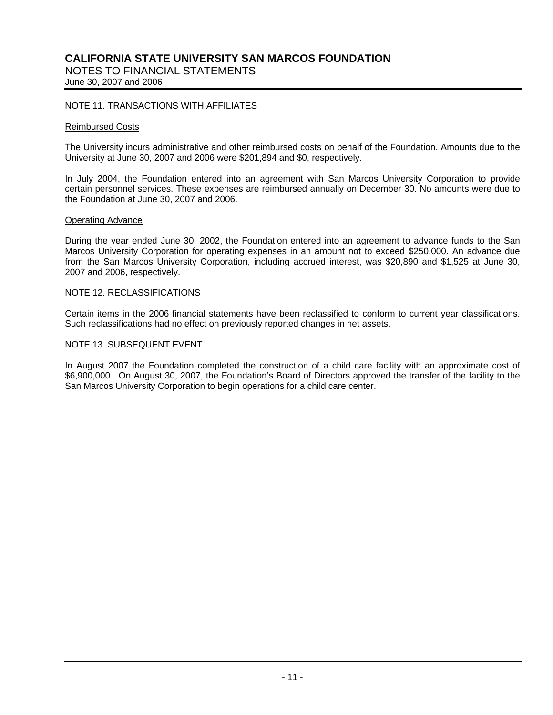NOTES TO FINANCIAL STATEMENTS

June 30, 2007 and 2006

# NOTE 11. TRANSACTIONS WITH AFFILIATES

# Reimbursed Costs

The University incurs administrative and other reimbursed costs on behalf of the Foundation. Amounts due to the University at June 30, 2007 and 2006 were \$201,894 and \$0, respectively.

In July 2004, the Foundation entered into an agreement with San Marcos University Corporation to provide certain personnel services. These expenses are reimbursed annually on December 30. No amounts were due to the Foundation at June 30, 2007 and 2006.

# Operating Advance

During the year ended June 30, 2002, the Foundation entered into an agreement to advance funds to the San Marcos University Corporation for operating expenses in an amount not to exceed \$250,000. An advance due from the San Marcos University Corporation, including accrued interest, was \$20,890 and \$1,525 at June 30, 2007 and 2006, respectively.

# NOTE 12. RECLASSIFICATIONS

Certain items in the 2006 financial statements have been reclassified to conform to current year classifications. Such reclassifications had no effect on previously reported changes in net assets.

# NOTE 13. SUBSEQUENT EVENT

In August 2007 the Foundation completed the construction of a child care facility with an approximate cost of \$6,900,000. On August 30, 2007, the Foundation's Board of Directors approved the transfer of the facility to the San Marcos University Corporation to begin operations for a child care center.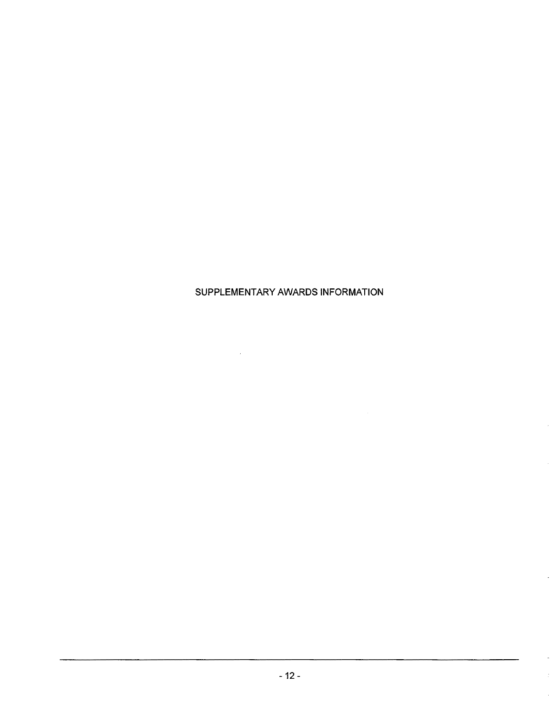# SUPPLEMENTARY AWARDS INFORMATION

 $\ddot{\phantom{a}}$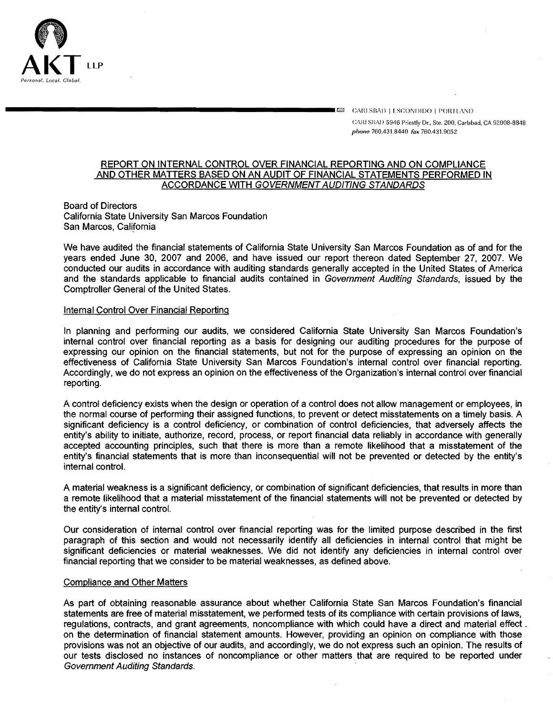

 $-$  CARLSBAD I L.SCONDIDO I PORTLAND CARI SBAD 5946 Priestly Dr., Ste. 200, Carlsbad, CA 92008-8848 phone 760.431.8440 fax 760.431.9052

#### REPORT ON INTERNAL CONTROL OVER FINANCIAL REPORTING AND ON COMPLIANCE AND OTHER MATTERS BASED ON AN AUDIT OF FINANCIAL STATEMENTS PERFORMED IN ACCORDANCE WITH GOVERNMENT AUDITING STANDARDS

Board of Directors California State University San Marcos Foundation San Marcos, California

We have audited the financial statements of California State University San Marcos Foundation as of and for the years ended June 30, 2007 and 2006, and have issued our report thereon dated September 27, 2007. We conducted our audits in accordance with auditing standards generally accepted in the United States of America and the standards applicable to financial audits contained in Government Auditing Standards, issued by the Comptroller General of the United States.

#### Internal Control Over Financial Reporting

In planning and performing our audits, we considered California State University San Marcos Foundation's internal control over financial reporting as a basis for designing our auditing procedures for the purpose of expressing our opinion on the financial statements, but not for the purpose of expressing an opinion on the effectiveness of California State University San Marcos Foundation's internal control over financial reporting. Accordingly, we do not express an opinion on the effectiveness of the Organization's internal control over financial reporting.

A control deficiency exists when the design or operation of a control does not allow management or employees, in the normal course of performing their assigned functions, to prevent or detect misstatements on a timely basis. A significant deficiency is a control deficiency, or combination of control deficiencies, that adversely affects the entity's ability to initiate, authorize, record, process, or report financial data reliably in accordance with generally accepted accounting principles, such that there is more than a remote likelihood that a misstatement of the entity's financial statements that is more than inconsequential will not be prevented or detected by the entity's internal control.

A material weakness is a significant deficiency, or combination of significant deficiencies, that results in more than a remote likelihood that a material misstatement of the financial statements will not be prevented or detected by the entity's internal control.

Our consideration of internal control over financial reporting was for the limited purpose described in the first paragraph of this section and would not necessarily identify all deficiencies in internal control that might be significant deficiencies or material weaknesses. We did not identify any deficiencies in internal control over financial reporting that we consider to be material weaknesses, as defined above.

#### Compliance and Other Matters

As part of obtaining reasonable assurance about whether California State San Marcos Foundation's financial statements are free of material misstatement, we performed tests of its compliance with certain provisions of laws, regulations, contracts, and grant agreements, noncompliance with which could have a direct and material effect . on the determination of financial statement amounts. However, providing an opinion on compliance with those provisions was not an objective of our audits, and accordingly, we do not express such an opinion. The results of our tests disclosed no instances of noncompliance or other matters that are required to be reported under Government Auditing Standards.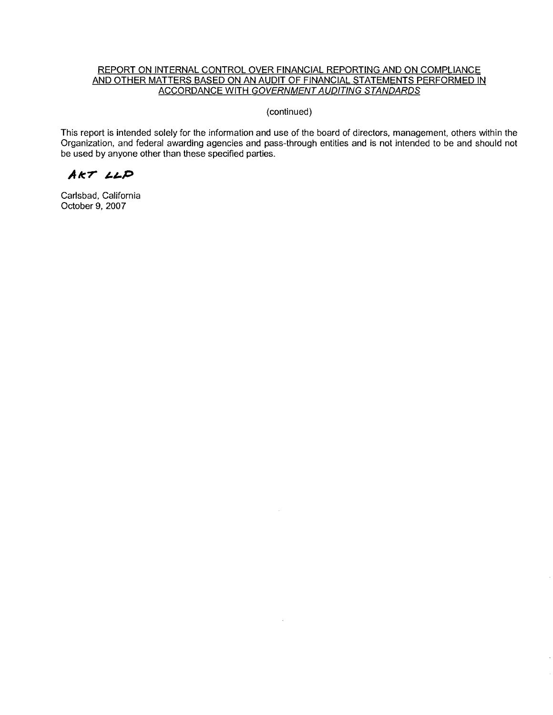#### REPORT ON INTERNAL CONTROL OVER FINANCIAL REPORTING AND ON COMPLIANCE AND OTHER MATTERS BASED ON AN AUDIT OF FINANCIAL STATEMENTS PERFORMED IN ACCORDANCE WITH GOVERNMENT AUDITING STANDARDS

(continued)

This report is intended solely for the information and use of the board of directors, management, others within the Organization, and federal awarding agencies and pass-through entities and is not intended to be and should not be used by anyone other than these specified parties.

 $\bar{\bar{z}}$ 

 $\bar{\mathcal{A}}$ 

ART LLP

Carlsbad, California October 9, 2007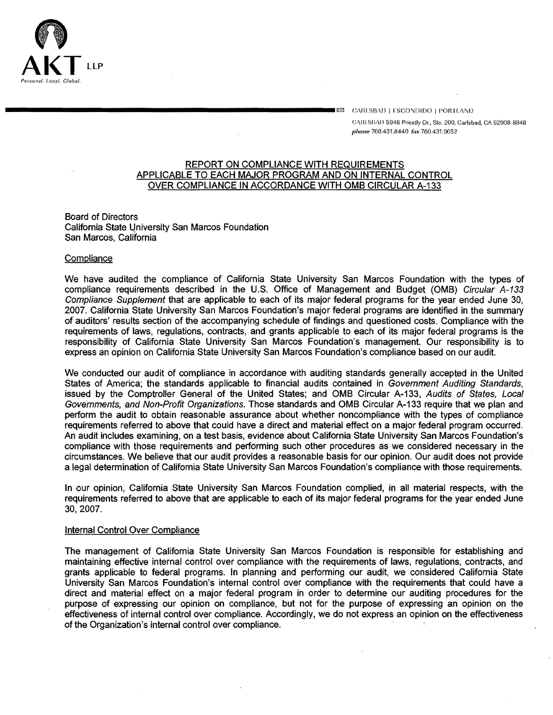

 $~\blacksquare~$  $~\blacksquare$  CARISBAD I L'SCONDIDO I PORTLAND CARI SBAD 5946 Priestly Dr., Ste. 200, Carlsbad, CA 92008-8848 phone 760.431.8440 fax 760.431.9052

#### REPORT ON COMPLIANCE WITH REQUIREMENTS APPLICABLE TO EACH MAJOR PROGRAM AND ON INTERNAL CONTROL OVER COMPLIANCE IN ACCORDANCE WITH OMB CIRCULAR A-133

Board of Directors California State University San Marcos Foundation San Marcos, California

#### **Compliance**

We have audited the compliance of California State University San Marcos Foundation with the types of compliance requirements described in the U.S. Office of Management and Budget (OMB) Circular A-133 Compliance Supplement that are applicable to each of its major federal programs for the year ended June 30, 2007. California State University San Marcos Foundation's major federal programs are identified in the summary of auditors' results section of the accompanying schedule of findings and questioned costs. Compliance with the requirements of laws, regulations, contracts, and grants applicable to each of its major federal programs is the responsibility of California State University San Marcos Foundation's management. Our responsibility is to express an opinion on California State University San Marcos Foundation's compliance based on our audit.

We conducted our audit of compliance in accordance with auditing standards generally accepted in the United States of America; the standards applicable to financial audits contained in Government Auditing Standards, issued by the Comptroller General of the United States; and OMB Circular A-133, Audits of States, Local Governments, and Non-Profit Organizations. Those standards and OMB Circular A-133 require that we plan and perform the audit to obtain reasonable assurance about whether noncompliance with the types of compliance requirements referred to above that could have a direct and material effect on a major federal program occurred. An audit includes examining, on a test basis, evidence about California State University San Marcos Foundation's compliance with those requirements and performing such other procedures as we considered necessary in the circumstances. We believe that our audit provides a reasonable basis for our opinion. Our audit does not provide a legal determination of California State University San Marcos Foundation's compliance with those requirements.

In our opinion, California State University San Marcos Foundation complied, in all material respects, with the requirements referred to above that are applicable to each of its major federal programs for the year ended June 30, 2007.

#### Internal Control Over Compliance

The management of California State University San Marcos Foundation is responsible for establishing and maintaining effective internal control over compliance with the requirements of laws, regulations, contracts, and grants applicable to federal programs. In planning and performing our audit, we considered California State University San Marcos Foundation's internal control over compliance with the requirements that could have a direct and material effect on a major federal program in order to determine our auditing procedures for the purpose of expressing our opinion on compliance, but not for the purpose of expressing an opinion on the effectiveness of internal control over compliance. Accordingly, we do not express an opinion on the effectiveness of the Organization's internal control over compliance.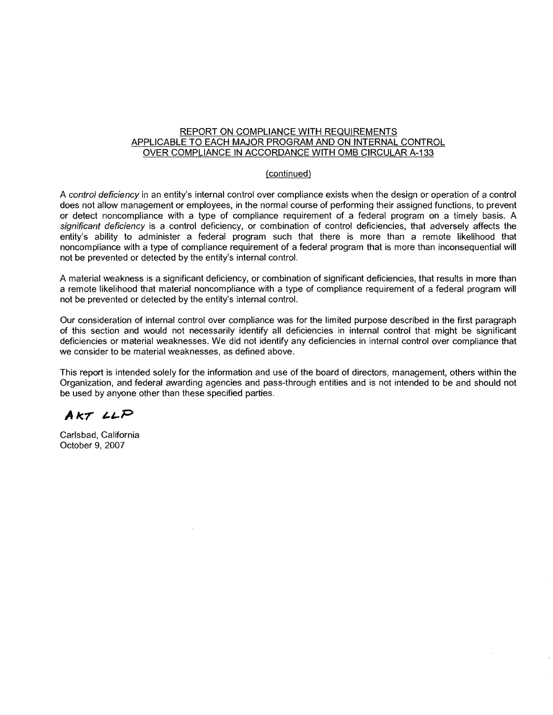### REPORT ON COMPLIANCE WITH REQUIREMENTS APPLICABLE TO EACH MAJOR PROGRAM AND ON INTERNAL CONTROL OVER COMPLIANCE IN ACCORDANCE WITH OMB CIRCULAR A-133

#### (continued)

A control deficiency in an entity's internal control over compliance exists when the design or operation of a control does not allow management or employees, in the normal course of performing their assigned functions, to prevent or detect noncompliance with a type of compliance requirement of a federal program on a timely basis. A significant deficiency is a control deficiency, or combination of control deficiencies, that adversely affects the entity's ability to administer a federal program such that there is more than a remote likelihood that noncompliance with a type of compliance requirement of a federal program that is more than inconsequential will not be prevented or detected by the entity's internal control.

A material weakness is a significant deficiency, or combination of significant deficiencies, that results in more than a remote likelihood that material noncompliance with a type of compliance requirement of a federal program will not be prevented or detected by the entity's internal control.

Our consideration of internal control over compliance was for the limited purpose described in the first paragraph of this section and would not necessarily identify all deficiencies in internal control that might be significant deficiencies or material weaknesses. We did not identify any deficiencies in internal control over compliance that we consider to be material weaknesses, as defined above.

This report is intended solely for the information and use of the board of directors, management, others within the Organization, and federal awarding agencies and pass-through entities and is not intended to be and should not be used by anyone other than these specified parties.

 $AKTLLP$ 

Carlsbad, California October 9, 2007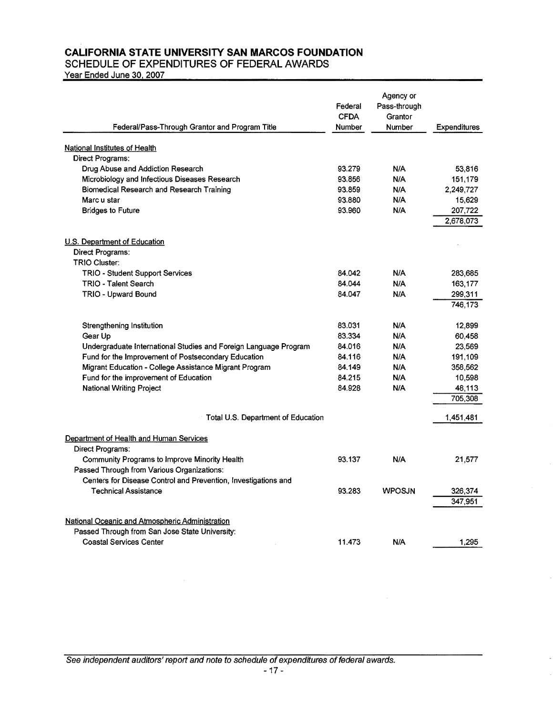# SCHEDULE OF EXPENDITURES OF FEDERAL AWARDS

Year Ended June 30, 2007

|                                                                  | Federal<br><b>CFDA</b> | Agency or<br>Pass-through<br>Grantor |              |
|------------------------------------------------------------------|------------------------|--------------------------------------|--------------|
| Federal/Pass-Through Grantor and Program Title                   | <b>Number</b>          | <b>Number</b>                        | Expenditures |
| <b>National Institutes of Health</b>                             |                        |                                      |              |
| Direct Programs:                                                 |                        |                                      |              |
| Drug Abuse and Addiction Research                                | 93.279                 | <b>N/A</b>                           | 53,816       |
| Microbiology and Infectious Diseases Research                    | 93.856                 | N/A                                  | 151,179      |
| Biomedical Research and Research Training                        | 93.859                 | N/A                                  | 2,249,727    |
| Marc u star                                                      | 93.880                 | N/A                                  | 15,629       |
| <b>Bridges to Future</b>                                         | 93.960                 | N/A                                  | 207,722      |
|                                                                  |                        |                                      | 2,678,073    |
| U.S. Department of Education                                     |                        |                                      |              |
| Direct Programs:                                                 |                        |                                      |              |
| <b>TRIO Cluster:</b>                                             |                        |                                      |              |
| <b>TRIO - Student Support Services</b>                           | 84.042                 | N/A                                  | 283,685      |
| <b>TRIO - Talent Search</b>                                      | 84.044                 | N/A                                  | 163,177      |
| TRIO - Upward Bound                                              | 84.047                 | N/A                                  | 299,311      |
|                                                                  |                        |                                      | 746,173      |
|                                                                  |                        |                                      |              |
| Strengthening Institution                                        | 83.031                 | N/A                                  | 12,899       |
| Gear Up                                                          | 83.334                 | N/A                                  | 60,458       |
| Undergraduate International Studies and Foreign Language Program | 84,016                 | N/A                                  | 23,569       |
| Fund for the Improvement of Postsecondary Education              | 84.116                 | N/A                                  | 191,109      |
| Migrant Education - College Assistance Migrant Program           | 84.149                 | N/A                                  | 358,562      |
| Fund for the improvement of Education                            | 84.215                 | N/A                                  | 10,598       |
| <b>National Writing Project</b>                                  | 84.928                 | N/A                                  | 48,113       |
|                                                                  |                        |                                      | 705,308      |
| Total U.S. Department of Education                               |                        |                                      | 1,451,481    |
| Department of Health and Human Services<br>Direct Programs:      |                        |                                      |              |
| Community Programs to Improve Minority Health                    | 93.137                 | N/A                                  | 21.577       |
| Passed Through from Various Organizations:                       |                        |                                      |              |
| Centers for Disease Control and Prevention, Investigations and   |                        |                                      |              |
| Technical Assistance                                             | 93.283                 | <b>WPOSJN</b>                        | 326,374      |
|                                                                  |                        |                                      | 347,951      |
|                                                                  |                        |                                      |              |
| National Oceanic and Atmospheric Administration                  |                        |                                      |              |
| Passed Through from San Jose State University:                   |                        |                                      |              |
| <b>Coastal Services Center</b>                                   | 11.473                 | N/A                                  | 1,295        |
|                                                                  |                        |                                      |              |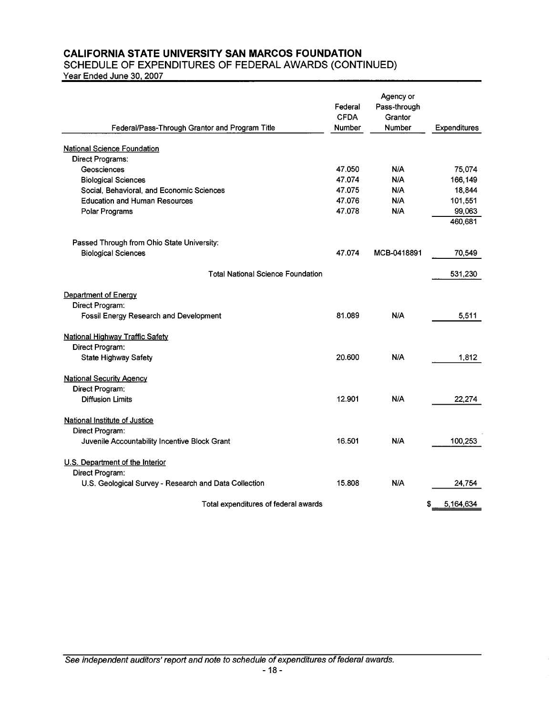# SCHEDULE OF EXPENDITURES OF FEDERAL AWARDS (CONTINUED)

Year Ended June 30, 2007

| Federal/Pass-Through Grantor and Program Title        | Federal<br><b>CFDA</b><br>Number | Agency or<br>Pass-through<br>Grantor<br><b>Number</b> | <b>Expenditures</b> |
|-------------------------------------------------------|----------------------------------|-------------------------------------------------------|---------------------|
| <b>National Science Foundation</b>                    |                                  |                                                       |                     |
| Direct Programs:                                      |                                  |                                                       |                     |
| Geosciences                                           | 47.050                           | N/A                                                   | 75,074              |
| <b>Biological Sciences</b>                            | 47.074                           | N/A                                                   | 166,149             |
| Social, Behavioral, and Economic Sciences             | 47.075                           | N/A                                                   | 18,844              |
| <b>Education and Human Resources</b>                  | 47.076                           | N/A                                                   | 101,551             |
| Polar Programs                                        | 47.078                           | N/A                                                   | 99,063              |
|                                                       |                                  |                                                       | 460,681             |
| Passed Through from Ohio State University:            |                                  |                                                       |                     |
| <b>Biological Sciences</b>                            | 47.074                           | MCB-0418891                                           | 70,549              |
| <b>Total National Science Foundation</b>              |                                  |                                                       | 531,230             |
|                                                       |                                  |                                                       |                     |
| Department of Energy                                  |                                  |                                                       |                     |
| Direct Program:                                       |                                  |                                                       |                     |
| Fossil Energy Research and Development                | 81.089                           | N/A                                                   | 5,511               |
| <b>National Highway Traffic Safety</b>                |                                  |                                                       |                     |
| Direct Program:                                       |                                  |                                                       |                     |
| <b>State Highway Safety</b>                           | 20.600                           | N/A                                                   | 1,812               |
| <b>National Security Agency</b>                       |                                  |                                                       |                     |
| Direct Program:                                       |                                  |                                                       |                     |
| <b>Diffusion Limits</b>                               | 12.901                           | N/A                                                   | 22.274              |
| <b>National Institute of Justice</b>                  |                                  |                                                       |                     |
| Direct Program:                                       |                                  |                                                       |                     |
| Juvenile Accountability Incentive Block Grant         | 16.501                           | N/A                                                   | 100,253             |
|                                                       |                                  |                                                       |                     |
| U.S. Department of the Interior                       |                                  |                                                       |                     |
| Direct Program:                                       |                                  |                                                       |                     |
| U.S. Geological Survey - Research and Data Collection | 15.808                           | N/A                                                   | 24,754              |
| Total expenditures of federal awards                  |                                  |                                                       | 5,164,634           |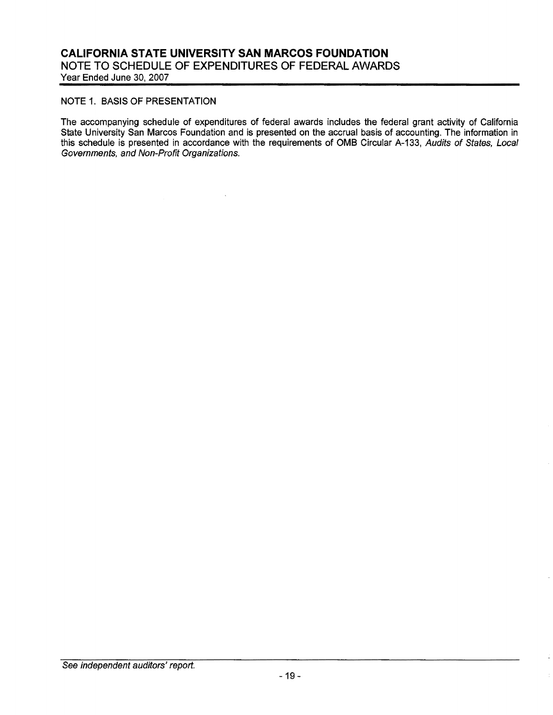# NOTE 1. BASIS OF PRESENTATION

The accompanying schedule of expenditures of federal awards includes the federal grant activity of California State University San Marcos Foundation and is presented on the accrual basis of accounting. The information in this schedule is presented in accordance with the requirements of OMB Circular A-133, Audits of States, Local Governments, and Non-Profit Organizations.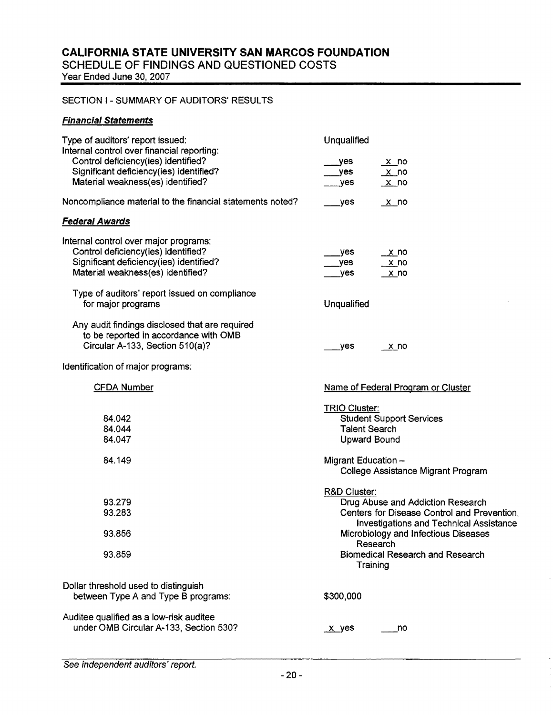SCHEDULE OF FINDINGS AND QUESTIONED COSTS

Year Ended June 30, 2007

# SECTION I - SUMMARY OF AUDITORS' RESULTS

# Financial Statements

| Type of auditors' report issued:<br>Internal control over financial reporting:<br>Control deficiency(ies) identified?<br>Significant deficiency(ies) identified?<br>Material weakness(es) identified? | Unqualified<br>yes<br>$x$ no<br>yes<br>$\mathbf{X}$ no<br>$x$ no<br>yes                                                                                                                                                                                       |
|-------------------------------------------------------------------------------------------------------------------------------------------------------------------------------------------------------|---------------------------------------------------------------------------------------------------------------------------------------------------------------------------------------------------------------------------------------------------------------|
| Noncompliance material to the financial statements noted?                                                                                                                                             | $x$ no<br>yes                                                                                                                                                                                                                                                 |
| <b>Federal Awards</b>                                                                                                                                                                                 |                                                                                                                                                                                                                                                               |
| Internal control over major programs:<br>Control deficiency(ies) identified?<br>Significant deficiency(ies) identified?<br>Material weakness(es) identified?                                          | yes<br><u>x</u> no<br>yes<br>$\times$ no<br>yes<br>x no                                                                                                                                                                                                       |
| Type of auditors' report issued on compliance<br>for major programs                                                                                                                                   | Unqualified                                                                                                                                                                                                                                                   |
| Any audit findings disclosed that are required<br>to be reported in accordance with OMB<br>Circular A-133, Section 510(a)?                                                                            | yes<br>x no                                                                                                                                                                                                                                                   |
| Identification of major programs:                                                                                                                                                                     |                                                                                                                                                                                                                                                               |
| <b>CFDA Number</b>                                                                                                                                                                                    | Name of Federal Program or Cluster                                                                                                                                                                                                                            |
| 84.042<br>84.044<br>84.047                                                                                                                                                                            | <b>TRIO Cluster:</b><br><b>Student Support Services</b><br><b>Talent Search</b><br><b>Upward Bound</b>                                                                                                                                                        |
| 84.149                                                                                                                                                                                                | Migrant Education -<br>College Assistance Migrant Program                                                                                                                                                                                                     |
| 93.279<br>93.283<br>93.856<br>93.859                                                                                                                                                                  | R&D Cluster:<br>Drug Abuse and Addiction Research<br>Centers for Disease Control and Prevention,<br><b>Investigations and Technical Assistance</b><br>Microbiology and Infectious Diseases<br>Research<br><b>Biomedical Research and Research</b><br>Training |
| Dollar threshold used to distinguish<br>between Type A and Type B programs:                                                                                                                           | \$300,000                                                                                                                                                                                                                                                     |
| Auditee qualified as a low-risk auditee<br>under OMB Circular A-133, Section 530?                                                                                                                     | $x$ yes<br>no                                                                                                                                                                                                                                                 |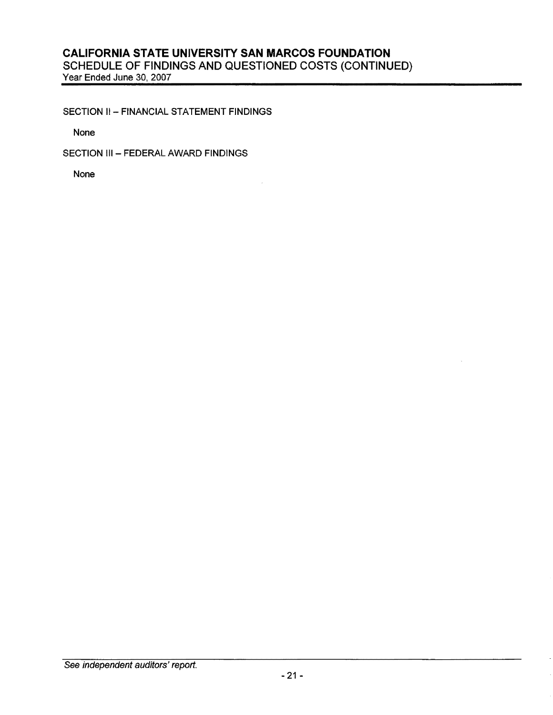SCHEDULE OF FINDINGS AND QUESTIONED COSTS (CONTINUED) Year Ended June 30, 2007

 $\mathcal{L}$ 

SECTION II - FINANCIAL STATEMENT FINDINGS

None

SECTION III - FEDERAL AWARD FINDINGS

None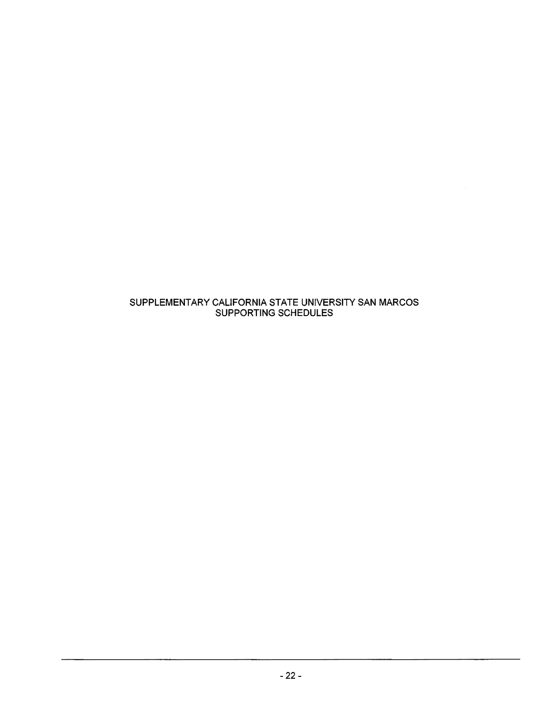SUPPLEMENTARY CALIFORNIA STATE UNIVERSITY SAN MARCOS SUPPORTING SCHEDULES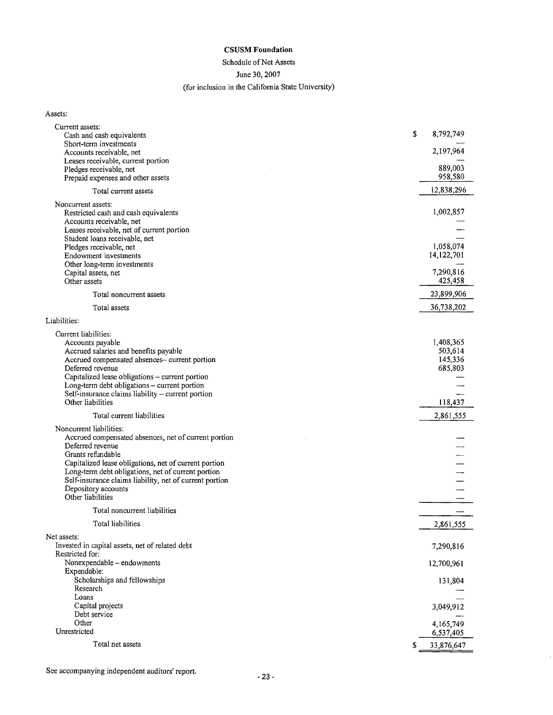#### Schedule of Net Assets

June 30, 2007

# (for inclusion in the California State University)

#### Assets:

| Short-term investments<br>2,197,964<br>Accounts receivable, net<br>Leases receivable, current portion<br>889,003<br>Pledges receivable, net<br>958,580<br>Prepaid expenses and other assets<br>12,838,296<br>Total current assets<br>Noncurrent assets:<br>1,002,857<br>Restricted cash and cash equivalents<br>Accounts receivable, net<br>Leases receivable, net of current portion<br>Student loans receivable, net<br>1,058,074<br>Pledges receivable, net<br>14,122,701<br>Endowment investments<br>Other long-term investments<br>7,290,816<br>Capital assets, net<br>425,458<br>Other assets<br>23,899,906<br>Total noncurrent assets<br>36,738,202<br>Total assets<br>Current liabilities:<br>1,408,365<br>Accounts payable<br>Accrued salaries and benefits payable<br>503,614<br>145,336<br>Accrued compensated absences-current portion<br>Deferred revenue<br>685,803<br>Capitalized lease obligations - current portion<br>Long-term debt obligations - current portion<br>Self-insurance claims liability - current portion<br>Other liabilities<br>118,437<br>2,861,555<br>Total current liabilities<br>Noncurrent liabilities:<br>Accrued compensated absences, net of current portion<br>Deferred revenue<br>Grants refundable<br>Capitalized lease obligations, net of current portion<br>Long-term debt obligations, net of current portion<br>Self-insurance claims liability, net of current portion<br>Depository accounts<br>Other liabilities<br>Total noncurrent liabilities<br>Total liabilities<br>2,861,555<br>Net assets:<br>Invested in capital assets, net of related debt<br>7,290,816<br>Restricted for:<br>Nonexpendable - endowments<br>12,700,961<br>Expendable:<br>Scholarships and fellowships<br>131,804<br>Research<br>Loans<br>Capital projects<br>3,049,912<br>Debt service<br>Other<br>4,165,749<br>Unrestricted<br>6,537,405<br>Total net assets<br>\$<br>33,876,647 | Current assets:           |                 |
|------------------------------------------------------------------------------------------------------------------------------------------------------------------------------------------------------------------------------------------------------------------------------------------------------------------------------------------------------------------------------------------------------------------------------------------------------------------------------------------------------------------------------------------------------------------------------------------------------------------------------------------------------------------------------------------------------------------------------------------------------------------------------------------------------------------------------------------------------------------------------------------------------------------------------------------------------------------------------------------------------------------------------------------------------------------------------------------------------------------------------------------------------------------------------------------------------------------------------------------------------------------------------------------------------------------------------------------------------------------------------------------------------------------------------------------------------------------------------------------------------------------------------------------------------------------------------------------------------------------------------------------------------------------------------------------------------------------------------------------------------------------------------------------------------------------------------------------------------------------------------------------------------------------|---------------------------|-----------------|
|                                                                                                                                                                                                                                                                                                                                                                                                                                                                                                                                                                                                                                                                                                                                                                                                                                                                                                                                                                                                                                                                                                                                                                                                                                                                                                                                                                                                                                                                                                                                                                                                                                                                                                                                                                                                                                                                                                                  | Cash and cash equivalents | \$<br>8,792,749 |
|                                                                                                                                                                                                                                                                                                                                                                                                                                                                                                                                                                                                                                                                                                                                                                                                                                                                                                                                                                                                                                                                                                                                                                                                                                                                                                                                                                                                                                                                                                                                                                                                                                                                                                                                                                                                                                                                                                                  |                           |                 |
|                                                                                                                                                                                                                                                                                                                                                                                                                                                                                                                                                                                                                                                                                                                                                                                                                                                                                                                                                                                                                                                                                                                                                                                                                                                                                                                                                                                                                                                                                                                                                                                                                                                                                                                                                                                                                                                                                                                  |                           |                 |
|                                                                                                                                                                                                                                                                                                                                                                                                                                                                                                                                                                                                                                                                                                                                                                                                                                                                                                                                                                                                                                                                                                                                                                                                                                                                                                                                                                                                                                                                                                                                                                                                                                                                                                                                                                                                                                                                                                                  |                           |                 |
|                                                                                                                                                                                                                                                                                                                                                                                                                                                                                                                                                                                                                                                                                                                                                                                                                                                                                                                                                                                                                                                                                                                                                                                                                                                                                                                                                                                                                                                                                                                                                                                                                                                                                                                                                                                                                                                                                                                  |                           |                 |
|                                                                                                                                                                                                                                                                                                                                                                                                                                                                                                                                                                                                                                                                                                                                                                                                                                                                                                                                                                                                                                                                                                                                                                                                                                                                                                                                                                                                                                                                                                                                                                                                                                                                                                                                                                                                                                                                                                                  |                           |                 |
|                                                                                                                                                                                                                                                                                                                                                                                                                                                                                                                                                                                                                                                                                                                                                                                                                                                                                                                                                                                                                                                                                                                                                                                                                                                                                                                                                                                                                                                                                                                                                                                                                                                                                                                                                                                                                                                                                                                  |                           |                 |
|                                                                                                                                                                                                                                                                                                                                                                                                                                                                                                                                                                                                                                                                                                                                                                                                                                                                                                                                                                                                                                                                                                                                                                                                                                                                                                                                                                                                                                                                                                                                                                                                                                                                                                                                                                                                                                                                                                                  |                           |                 |
|                                                                                                                                                                                                                                                                                                                                                                                                                                                                                                                                                                                                                                                                                                                                                                                                                                                                                                                                                                                                                                                                                                                                                                                                                                                                                                                                                                                                                                                                                                                                                                                                                                                                                                                                                                                                                                                                                                                  |                           |                 |
|                                                                                                                                                                                                                                                                                                                                                                                                                                                                                                                                                                                                                                                                                                                                                                                                                                                                                                                                                                                                                                                                                                                                                                                                                                                                                                                                                                                                                                                                                                                                                                                                                                                                                                                                                                                                                                                                                                                  |                           |                 |
|                                                                                                                                                                                                                                                                                                                                                                                                                                                                                                                                                                                                                                                                                                                                                                                                                                                                                                                                                                                                                                                                                                                                                                                                                                                                                                                                                                                                                                                                                                                                                                                                                                                                                                                                                                                                                                                                                                                  |                           |                 |
|                                                                                                                                                                                                                                                                                                                                                                                                                                                                                                                                                                                                                                                                                                                                                                                                                                                                                                                                                                                                                                                                                                                                                                                                                                                                                                                                                                                                                                                                                                                                                                                                                                                                                                                                                                                                                                                                                                                  |                           |                 |
|                                                                                                                                                                                                                                                                                                                                                                                                                                                                                                                                                                                                                                                                                                                                                                                                                                                                                                                                                                                                                                                                                                                                                                                                                                                                                                                                                                                                                                                                                                                                                                                                                                                                                                                                                                                                                                                                                                                  |                           |                 |
|                                                                                                                                                                                                                                                                                                                                                                                                                                                                                                                                                                                                                                                                                                                                                                                                                                                                                                                                                                                                                                                                                                                                                                                                                                                                                                                                                                                                                                                                                                                                                                                                                                                                                                                                                                                                                                                                                                                  |                           |                 |
|                                                                                                                                                                                                                                                                                                                                                                                                                                                                                                                                                                                                                                                                                                                                                                                                                                                                                                                                                                                                                                                                                                                                                                                                                                                                                                                                                                                                                                                                                                                                                                                                                                                                                                                                                                                                                                                                                                                  |                           |                 |
|                                                                                                                                                                                                                                                                                                                                                                                                                                                                                                                                                                                                                                                                                                                                                                                                                                                                                                                                                                                                                                                                                                                                                                                                                                                                                                                                                                                                                                                                                                                                                                                                                                                                                                                                                                                                                                                                                                                  |                           |                 |
|                                                                                                                                                                                                                                                                                                                                                                                                                                                                                                                                                                                                                                                                                                                                                                                                                                                                                                                                                                                                                                                                                                                                                                                                                                                                                                                                                                                                                                                                                                                                                                                                                                                                                                                                                                                                                                                                                                                  |                           |                 |
|                                                                                                                                                                                                                                                                                                                                                                                                                                                                                                                                                                                                                                                                                                                                                                                                                                                                                                                                                                                                                                                                                                                                                                                                                                                                                                                                                                                                                                                                                                                                                                                                                                                                                                                                                                                                                                                                                                                  |                           |                 |
|                                                                                                                                                                                                                                                                                                                                                                                                                                                                                                                                                                                                                                                                                                                                                                                                                                                                                                                                                                                                                                                                                                                                                                                                                                                                                                                                                                                                                                                                                                                                                                                                                                                                                                                                                                                                                                                                                                                  |                           |                 |
|                                                                                                                                                                                                                                                                                                                                                                                                                                                                                                                                                                                                                                                                                                                                                                                                                                                                                                                                                                                                                                                                                                                                                                                                                                                                                                                                                                                                                                                                                                                                                                                                                                                                                                                                                                                                                                                                                                                  | Liabilities:              |                 |
|                                                                                                                                                                                                                                                                                                                                                                                                                                                                                                                                                                                                                                                                                                                                                                                                                                                                                                                                                                                                                                                                                                                                                                                                                                                                                                                                                                                                                                                                                                                                                                                                                                                                                                                                                                                                                                                                                                                  |                           |                 |
|                                                                                                                                                                                                                                                                                                                                                                                                                                                                                                                                                                                                                                                                                                                                                                                                                                                                                                                                                                                                                                                                                                                                                                                                                                                                                                                                                                                                                                                                                                                                                                                                                                                                                                                                                                                                                                                                                                                  |                           |                 |
|                                                                                                                                                                                                                                                                                                                                                                                                                                                                                                                                                                                                                                                                                                                                                                                                                                                                                                                                                                                                                                                                                                                                                                                                                                                                                                                                                                                                                                                                                                                                                                                                                                                                                                                                                                                                                                                                                                                  |                           |                 |
|                                                                                                                                                                                                                                                                                                                                                                                                                                                                                                                                                                                                                                                                                                                                                                                                                                                                                                                                                                                                                                                                                                                                                                                                                                                                                                                                                                                                                                                                                                                                                                                                                                                                                                                                                                                                                                                                                                                  |                           |                 |
|                                                                                                                                                                                                                                                                                                                                                                                                                                                                                                                                                                                                                                                                                                                                                                                                                                                                                                                                                                                                                                                                                                                                                                                                                                                                                                                                                                                                                                                                                                                                                                                                                                                                                                                                                                                                                                                                                                                  |                           |                 |
|                                                                                                                                                                                                                                                                                                                                                                                                                                                                                                                                                                                                                                                                                                                                                                                                                                                                                                                                                                                                                                                                                                                                                                                                                                                                                                                                                                                                                                                                                                                                                                                                                                                                                                                                                                                                                                                                                                                  |                           |                 |
|                                                                                                                                                                                                                                                                                                                                                                                                                                                                                                                                                                                                                                                                                                                                                                                                                                                                                                                                                                                                                                                                                                                                                                                                                                                                                                                                                                                                                                                                                                                                                                                                                                                                                                                                                                                                                                                                                                                  |                           |                 |
|                                                                                                                                                                                                                                                                                                                                                                                                                                                                                                                                                                                                                                                                                                                                                                                                                                                                                                                                                                                                                                                                                                                                                                                                                                                                                                                                                                                                                                                                                                                                                                                                                                                                                                                                                                                                                                                                                                                  |                           |                 |
|                                                                                                                                                                                                                                                                                                                                                                                                                                                                                                                                                                                                                                                                                                                                                                                                                                                                                                                                                                                                                                                                                                                                                                                                                                                                                                                                                                                                                                                                                                                                                                                                                                                                                                                                                                                                                                                                                                                  |                           |                 |
|                                                                                                                                                                                                                                                                                                                                                                                                                                                                                                                                                                                                                                                                                                                                                                                                                                                                                                                                                                                                                                                                                                                                                                                                                                                                                                                                                                                                                                                                                                                                                                                                                                                                                                                                                                                                                                                                                                                  |                           |                 |
|                                                                                                                                                                                                                                                                                                                                                                                                                                                                                                                                                                                                                                                                                                                                                                                                                                                                                                                                                                                                                                                                                                                                                                                                                                                                                                                                                                                                                                                                                                                                                                                                                                                                                                                                                                                                                                                                                                                  |                           |                 |
|                                                                                                                                                                                                                                                                                                                                                                                                                                                                                                                                                                                                                                                                                                                                                                                                                                                                                                                                                                                                                                                                                                                                                                                                                                                                                                                                                                                                                                                                                                                                                                                                                                                                                                                                                                                                                                                                                                                  |                           |                 |
|                                                                                                                                                                                                                                                                                                                                                                                                                                                                                                                                                                                                                                                                                                                                                                                                                                                                                                                                                                                                                                                                                                                                                                                                                                                                                                                                                                                                                                                                                                                                                                                                                                                                                                                                                                                                                                                                                                                  |                           |                 |
|                                                                                                                                                                                                                                                                                                                                                                                                                                                                                                                                                                                                                                                                                                                                                                                                                                                                                                                                                                                                                                                                                                                                                                                                                                                                                                                                                                                                                                                                                                                                                                                                                                                                                                                                                                                                                                                                                                                  |                           |                 |
|                                                                                                                                                                                                                                                                                                                                                                                                                                                                                                                                                                                                                                                                                                                                                                                                                                                                                                                                                                                                                                                                                                                                                                                                                                                                                                                                                                                                                                                                                                                                                                                                                                                                                                                                                                                                                                                                                                                  |                           |                 |
|                                                                                                                                                                                                                                                                                                                                                                                                                                                                                                                                                                                                                                                                                                                                                                                                                                                                                                                                                                                                                                                                                                                                                                                                                                                                                                                                                                                                                                                                                                                                                                                                                                                                                                                                                                                                                                                                                                                  |                           |                 |
|                                                                                                                                                                                                                                                                                                                                                                                                                                                                                                                                                                                                                                                                                                                                                                                                                                                                                                                                                                                                                                                                                                                                                                                                                                                                                                                                                                                                                                                                                                                                                                                                                                                                                                                                                                                                                                                                                                                  |                           |                 |
|                                                                                                                                                                                                                                                                                                                                                                                                                                                                                                                                                                                                                                                                                                                                                                                                                                                                                                                                                                                                                                                                                                                                                                                                                                                                                                                                                                                                                                                                                                                                                                                                                                                                                                                                                                                                                                                                                                                  |                           |                 |
|                                                                                                                                                                                                                                                                                                                                                                                                                                                                                                                                                                                                                                                                                                                                                                                                                                                                                                                                                                                                                                                                                                                                                                                                                                                                                                                                                                                                                                                                                                                                                                                                                                                                                                                                                                                                                                                                                                                  |                           |                 |
|                                                                                                                                                                                                                                                                                                                                                                                                                                                                                                                                                                                                                                                                                                                                                                                                                                                                                                                                                                                                                                                                                                                                                                                                                                                                                                                                                                                                                                                                                                                                                                                                                                                                                                                                                                                                                                                                                                                  |                           |                 |
|                                                                                                                                                                                                                                                                                                                                                                                                                                                                                                                                                                                                                                                                                                                                                                                                                                                                                                                                                                                                                                                                                                                                                                                                                                                                                                                                                                                                                                                                                                                                                                                                                                                                                                                                                                                                                                                                                                                  |                           |                 |
|                                                                                                                                                                                                                                                                                                                                                                                                                                                                                                                                                                                                                                                                                                                                                                                                                                                                                                                                                                                                                                                                                                                                                                                                                                                                                                                                                                                                                                                                                                                                                                                                                                                                                                                                                                                                                                                                                                                  |                           |                 |
|                                                                                                                                                                                                                                                                                                                                                                                                                                                                                                                                                                                                                                                                                                                                                                                                                                                                                                                                                                                                                                                                                                                                                                                                                                                                                                                                                                                                                                                                                                                                                                                                                                                                                                                                                                                                                                                                                                                  |                           |                 |
|                                                                                                                                                                                                                                                                                                                                                                                                                                                                                                                                                                                                                                                                                                                                                                                                                                                                                                                                                                                                                                                                                                                                                                                                                                                                                                                                                                                                                                                                                                                                                                                                                                                                                                                                                                                                                                                                                                                  |                           |                 |
|                                                                                                                                                                                                                                                                                                                                                                                                                                                                                                                                                                                                                                                                                                                                                                                                                                                                                                                                                                                                                                                                                                                                                                                                                                                                                                                                                                                                                                                                                                                                                                                                                                                                                                                                                                                                                                                                                                                  |                           |                 |
|                                                                                                                                                                                                                                                                                                                                                                                                                                                                                                                                                                                                                                                                                                                                                                                                                                                                                                                                                                                                                                                                                                                                                                                                                                                                                                                                                                                                                                                                                                                                                                                                                                                                                                                                                                                                                                                                                                                  |                           |                 |
|                                                                                                                                                                                                                                                                                                                                                                                                                                                                                                                                                                                                                                                                                                                                                                                                                                                                                                                                                                                                                                                                                                                                                                                                                                                                                                                                                                                                                                                                                                                                                                                                                                                                                                                                                                                                                                                                                                                  |                           |                 |
|                                                                                                                                                                                                                                                                                                                                                                                                                                                                                                                                                                                                                                                                                                                                                                                                                                                                                                                                                                                                                                                                                                                                                                                                                                                                                                                                                                                                                                                                                                                                                                                                                                                                                                                                                                                                                                                                                                                  |                           |                 |
|                                                                                                                                                                                                                                                                                                                                                                                                                                                                                                                                                                                                                                                                                                                                                                                                                                                                                                                                                                                                                                                                                                                                                                                                                                                                                                                                                                                                                                                                                                                                                                                                                                                                                                                                                                                                                                                                                                                  |                           |                 |
|                                                                                                                                                                                                                                                                                                                                                                                                                                                                                                                                                                                                                                                                                                                                                                                                                                                                                                                                                                                                                                                                                                                                                                                                                                                                                                                                                                                                                                                                                                                                                                                                                                                                                                                                                                                                                                                                                                                  |                           |                 |
|                                                                                                                                                                                                                                                                                                                                                                                                                                                                                                                                                                                                                                                                                                                                                                                                                                                                                                                                                                                                                                                                                                                                                                                                                                                                                                                                                                                                                                                                                                                                                                                                                                                                                                                                                                                                                                                                                                                  |                           |                 |
|                                                                                                                                                                                                                                                                                                                                                                                                                                                                                                                                                                                                                                                                                                                                                                                                                                                                                                                                                                                                                                                                                                                                                                                                                                                                                                                                                                                                                                                                                                                                                                                                                                                                                                                                                                                                                                                                                                                  |                           |                 |
|                                                                                                                                                                                                                                                                                                                                                                                                                                                                                                                                                                                                                                                                                                                                                                                                                                                                                                                                                                                                                                                                                                                                                                                                                                                                                                                                                                                                                                                                                                                                                                                                                                                                                                                                                                                                                                                                                                                  |                           |                 |
|                                                                                                                                                                                                                                                                                                                                                                                                                                                                                                                                                                                                                                                                                                                                                                                                                                                                                                                                                                                                                                                                                                                                                                                                                                                                                                                                                                                                                                                                                                                                                                                                                                                                                                                                                                                                                                                                                                                  |                           |                 |

See accompanying independent auditors' report. - 23 -

l.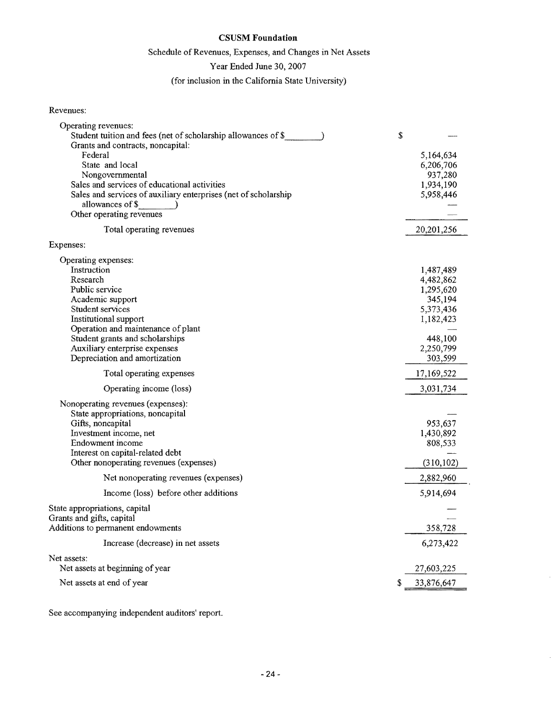# Schedule of Revenues, Expenses, and Changes in Net Assets

Year Ended June 30, 2007

(for inclusion in the California State University)

| Revenues: |
|-----------|
|-----------|

| Operating revenues:                                             |                  |
|-----------------------------------------------------------------|------------------|
| Student tuition and fees (net of scholarship allowances of \$   | \$               |
| Grants and contracts, noncapital:                               |                  |
| Federal                                                         | 5,164,634        |
| State and local                                                 | 6,206,706        |
| Nongovernmental                                                 | 937,280          |
| Sales and services of educational activities                    | 1,934,190        |
| Sales and services of auxiliary enterprises (net of scholarship | 5,958,446        |
| allowances of \$                                                |                  |
| Other operating revenues                                        |                  |
| Total operating revenues                                        | 20,201,256       |
| Expenses:                                                       |                  |
| Operating expenses:                                             |                  |
| Instruction                                                     | 1,487,489        |
| Research                                                        | 4,482,862        |
| Public service                                                  | 1,295,620        |
| Academic support                                                | 345,194          |
| Student services                                                | 5,373,436        |
| Institutional support                                           | 1,182,423        |
| Operation and maintenance of plant                              |                  |
| Student grants and scholarships                                 | 448,100          |
| Auxiliary enterprise expenses                                   | 2,250,799        |
| Depreciation and amortization                                   | 303,599          |
| Total operating expenses                                        | 17,169,522       |
| Operating income (loss)                                         | 3,031,734        |
| Nonoperating revenues (expenses):                               |                  |
| State appropriations, noncapital                                |                  |
| Gifts, noncapital                                               | 953,637          |
| Investment income, net                                          | 1,430,892        |
| Endowment income                                                | 808,533          |
| Interest on capital-related debt                                |                  |
| Other nonoperating revenues (expenses)                          | (310, 102)       |
| Net nonoperating revenues (expenses)                            | 2,882,960        |
| Income (loss) before other additions                            | 5,914,694        |
| State appropriations, capital                                   |                  |
| Grants and gifts, capital                                       |                  |
| Additions to permanent endowments                               | 358,728          |
| Increase (decrease) in net assets                               | 6,273,422        |
| Net assets:                                                     |                  |
| Net assets at beginning of year                                 | 27,603,225       |
| Net assets at end of year                                       | \$<br>33,876,647 |
|                                                                 |                  |

See accompanying independent auditors' report.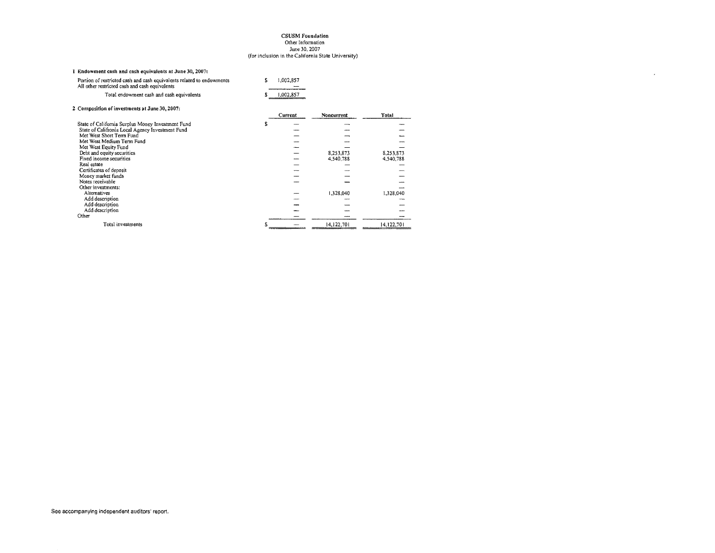#### CSUSM Foundation Other Infotmation June 30, 2007 {for inclusion in the California State University)

 $^\prime$ 

#### 1 Endowment cash and cash equivalents at June 30, 2007:

tion of restricted cash and cash equivalents related to endowments<br>other restricted cash and cash equivalents Totat endowment cash and cash equivalents

 $$ 1,002,857$ 1,002.857  $\mathbbmss{S}$ 

#### 2 Composition of investments at June 30, 2007:

|                                                   |   | Current | Noncurrent | Total      |
|---------------------------------------------------|---|---------|------------|------------|
| State of California Surplus Money Investment Fund | х |         |            |            |
| State of Califronia Local Agency Investment Fund  |   |         |            |            |
| Met West Short Term Fund                          |   |         |            |            |
| Met West Medium Term Fund                         |   |         |            |            |
| Met West Equity Fund                              |   |         |            |            |
| Debt and equity securities                        |   |         | 8,253,873  | 8,253.873  |
| Fixed income securities                           |   |         | 4,540,788  | 4,540.788  |
| Real estate                                       |   |         |            |            |
| Certificates of deposit                           |   |         |            |            |
| Money market funds                                |   |         |            |            |
| Notes receivable                                  |   |         |            |            |
| Other investments:                                |   |         |            |            |
| Alternatives                                      |   |         | 1,328,040  | 1,328,040  |
| Add description                                   |   |         |            |            |
| Add description                                   |   |         |            |            |
| Add description                                   |   |         |            |            |
| Other                                             |   |         |            |            |
| Total investments                                 |   |         | 14,122,701 | 14,122,701 |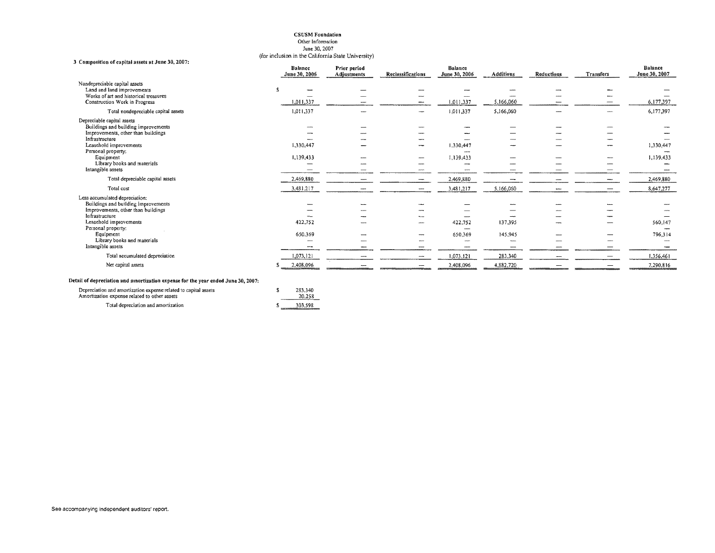#### CS USM Foundation Other Information June 30, 2007 (for inclusion in the California State University)

| 3 Composition of capital assets at June 30, 2007: |                          |                             |                          |                          |                          |                          |                  |                          |
|---------------------------------------------------|--------------------------|-----------------------------|--------------------------|--------------------------|--------------------------|--------------------------|------------------|--------------------------|
|                                                   | Balance<br>June 30, 2006 | Prior period<br>Adjustments | Reclassifications        | Balance<br>June 30, 2006 | Additions                | Reductions               | <b>Transfers</b> | Balance<br>June 30, 2007 |
| Nondepreciable capital assets                     |                          |                             |                          |                          |                          |                          |                  |                          |
| Land and land improvements                        | Ŝ.                       |                             |                          |                          |                          |                          |                  |                          |
| Works of art and historical treasures             |                          |                             |                          |                          |                          |                          |                  |                          |
| Construction Work in Progress                     | 1.011.337                | <b>Service</b>              | -                        | 1,011,337                | 5.166,060                |                          | —                | 6,177,397                |
| Total nondepreciable capital assets               | 1,011,337                | ---                         | --                       | 1,011,337                | 5,166,060                | —                        | $-$              | 6,177,397                |
| Depreciable capital assets                        |                          |                             |                          |                          |                          |                          |                  |                          |
| Buildings and building improvements               |                          |                             | $-$                      |                          |                          |                          |                  |                          |
| Improvements, other than buildings                |                          |                             | www.                     |                          |                          |                          |                  |                          |
| Infrastructure                                    | $\overline{\phantom{a}}$ |                             | ---                      |                          |                          |                          | ---              |                          |
| Leasehold improvements                            | 1,330,447                |                             | --                       | 1,330,447                |                          | ---                      | -                | 1,330,447                |
| Personal property:                                |                          |                             |                          |                          |                          |                          |                  |                          |
| Equipment                                         | 1,139,433                | ----                        | $\overline{\phantom{a}}$ | 1,139,433                |                          |                          |                  | 1,139,433                |
| Library books and materials                       |                          |                             |                          | -                        |                          |                          |                  |                          |
| Intangible assets                                 |                          | $\overline{\phantom{a}}$    | <b>STATISTICS</b>        | $\sim$                   |                          | $\overline{\phantom{a}}$ |                  | ---                      |
| Total depreciable capital assets                  | 2,469,880                |                             | --                       | 2,469,880                |                          |                          |                  | 2,469,880                |
| Total cost                                        | 3,481,217                | ---                         |                          | 3,481,217                | 5,166,060                |                          |                  | 8,647,277                |
| Less accumulated depreciation:                    |                          |                             |                          |                          |                          |                          |                  |                          |
| Buildings and building improvements               |                          |                             | سمہ                      |                          |                          |                          |                  |                          |
| Improvements, other than buildings                |                          |                             | ----                     |                          |                          |                          |                  |                          |
| Infrastructure                                    |                          |                             | $\sim$                   | -                        |                          |                          |                  |                          |
| Leaschold improvements                            | 422,752                  | www.                        | anno.                    | 422,752                  | 137,395                  | ---                      | ---              | 560,147                  |
| Personal property:                                |                          |                             |                          | $\sim$                   |                          |                          |                  |                          |
| Equipment                                         | 650.369                  |                             | ----                     | 650,369                  | 145,945                  | ---                      |                  | 796,314                  |
| Library books and materials                       | <b>--</b>                |                             | -                        | $\overline{a}$           | $\overline{\phantom{a}}$ |                          |                  | $\overline{\phantom{a}}$ |
| Intangible assets                                 |                          |                             | ---                      | $\overline{\phantom{a}}$ | ---                      | --                       |                  |                          |
| Total accumulated depreciation                    | 1,073,121                | ---                         | ----                     | 1,073,121                | 283,340                  | $\sim$                   |                  | 1,356,461                |
| Net capital assets                                | 2,408,096                |                             |                          | 2,408,096                | 4,882,720                |                          |                  | 7,290,816                |
|                                                   |                          |                             |                          |                          |                          |                          |                  |                          |

#### Detail of depreciation and amortization expense for the year ended June 30, 2007:

| Depreciation and amortization expense related to capital assets | 283.340 |
|-----------------------------------------------------------------|---------|
| Amortization expense related to other assets                    | 20.258  |
| Total depreciation and amortization                             | 303.598 |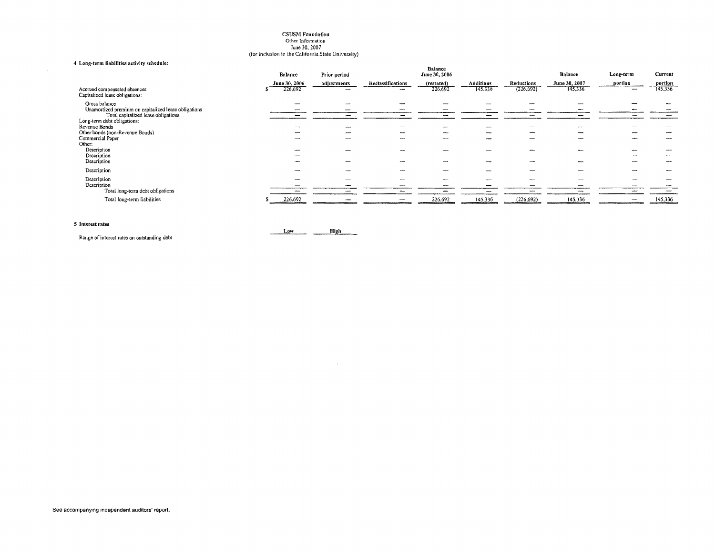# CSUSM Foundation Other Infonnation June 30, 2007 (for indusion in the California State University}

#### 4 Long~term liabilities activity schedule:

 $\sim$ 

| Long-term unamities activity activance                         |               |              |                   | Balance       |           |            |               |                          |         |
|----------------------------------------------------------------|---------------|--------------|-------------------|---------------|-----------|------------|---------------|--------------------------|---------|
|                                                                | Balance       | Prior period |                   | June 30, 2006 |           |            | Balance       | Long-term                | Current |
|                                                                | June 30, 2006 | adjustments  | Reclassifications | (restated)    | Additions | Reductions | June 30, 2007 | portion                  | portion |
| Accrued compensated absences<br>Capitalized lease obligations: | 226,692       | --           | $\sim$            | 226,692       | 145,336   | (226, 692) | 145,336       |                          | 145,336 |
| Gross balance                                                  |               |              |                   |               |           |            |               |                          |         |
| Unamortized premium on capitalized lease obligations           |               |              |                   |               |           |            |               |                          |         |
| Total capitalized lease obligations                            |               |              |                   |               |           |            |               |                          |         |
| Long-term debt obligations:                                    |               |              |                   |               |           |            |               |                          |         |
| Revenue Bonds                                                  |               |              |                   |               |           |            |               |                          |         |
| Other bonds (non-Revenue Bonds)                                |               |              | $\cdots$          |               | ---       |            |               |                          |         |
| Commercial Paper                                               |               |              | ----              | مسعه          | ---       |            |               |                          |         |
| Other:                                                         |               |              |                   |               |           |            |               |                          |         |
| Description                                                    |               |              |                   | $-$           |           |            |               |                          |         |
| Description                                                    |               |              |                   | --            |           |            |               | --                       |         |
| Description                                                    |               |              | --                |               |           |            |               |                          |         |
| Description                                                    |               |              | <b>STATE</b>      |               |           | $\sim$     |               | $\overline{\phantom{a}}$ |         |
| Description                                                    |               |              | --                |               |           |            |               |                          |         |
| Description                                                    |               |              |                   |               |           |            |               |                          |         |
| Total long-term debt obligations                               |               |              |                   |               |           |            |               | $-$                      |         |
| Total long-term liabilities                                    | 226,692       |              |                   | 226,692       | 145,336   | (226, 692) | 145,336       |                          | 145,336 |

5 Interest rates

Low High

 $\sim 10^7$ 

Range of interest rates on outstanding debt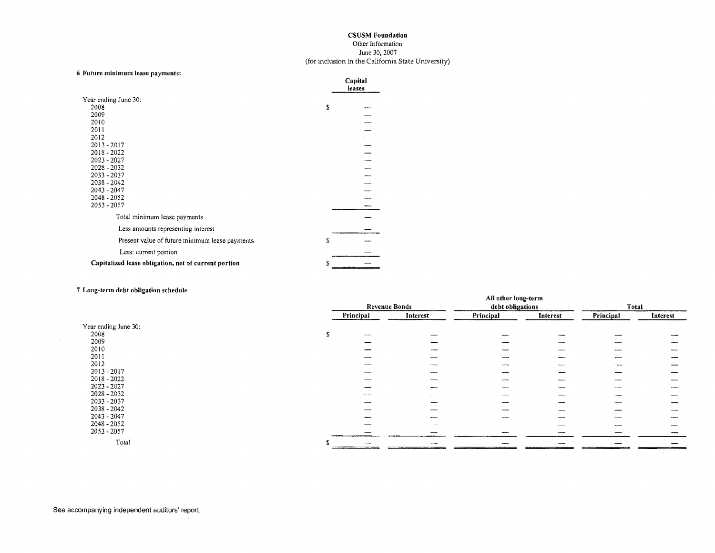#### Other Jnfonnation June 30, 2007 (for inclusion in the California State University)

Capital

#### 6 Future minimum lease payments:

|                                                      |   | leases |
|------------------------------------------------------|---|--------|
| Year ending June 30:                                 |   |        |
| 2008                                                 | S |        |
| 2009                                                 |   |        |
| 2010                                                 |   |        |
| 2011                                                 |   |        |
| 2012                                                 |   |        |
| $2013 - 2017$                                        |   |        |
| 2018 - 2022                                          |   |        |
| $2023 - 2027$                                        |   |        |
| 2028 - 2032                                          |   |        |
| $2033 - 2037$                                        |   |        |
| 2038 - 2042                                          |   |        |
| $2043 - 2047$                                        |   |        |
| $2048 - 2052$                                        |   |        |
| $2053 - 2057$                                        |   |        |
| Total minimum lease payments                         |   |        |
| Less amounts representing interest                   |   |        |
| Present value of future minimum lease payments       | S |        |
| Less: current portion                                |   |        |
| Capitalized lease obligation, net of current portion | ٢ |        |
|                                                      |   |        |

#### 7 Long-term debt obligation schedule

 $\sim$   $\sim$ 

| Long-term acht omigation scheaute |    |                   |                      |                     |                          |           |          |  |
|-----------------------------------|----|-------------------|----------------------|---------------------|--------------------------|-----------|----------|--|
|                                   |    |                   |                      | All other long-term |                          |           |          |  |
|                                   |    |                   | <b>Revenue Bonds</b> | debt obligations    |                          | Total     |          |  |
|                                   |    | Principal         | Interest             | Principal           | Interest                 | Principal | Interest |  |
| Year ending June 30:              |    |                   |                      |                     |                          |           |          |  |
| 2008                              | J. | ----              |                      |                     |                          |           |          |  |
| 2009                              |    | ----              |                      | ----                | ----                     |           |          |  |
| 2010                              |    |                   | -----                | ---                 | $\overline{\phantom{a}}$ |           | --       |  |
| 2011                              |    | <b>STATISTICS</b> |                      | ----                | ----                     | -         |          |  |
| 2012                              |    | ---               |                      | ----                | $-$                      | --        |          |  |
| $2013 - 2017$                     |    |                   |                      |                     |                          |           |          |  |
| $2018 - 2022$                     |    | ------            | $-$                  | ----                | $\overline{\phantom{a}}$ |           | ----     |  |
| $2023 - 2027$                     |    |                   |                      |                     |                          |           |          |  |
| $2028 - 2032$                     |    | <b>Augustus</b>   | $-$                  | ----                |                          |           |          |  |
| $2033 - 2037$                     |    |                   | $-$                  | ----                |                          |           |          |  |
| $2038 - 2042$                     |    |                   |                      | --                  |                          |           | -----    |  |
| $2043 - 2047$                     |    |                   |                      | ----                | --                       | ----      |          |  |
| $2048 - 2052$                     |    |                   | ----                 |                     |                          |           |          |  |
| $2053 - 2057$                     |    |                   |                      |                     |                          |           |          |  |
|                                   |    |                   |                      |                     |                          |           |          |  |
| Total                             |    |                   |                      |                     |                          |           |          |  |
|                                   |    |                   |                      |                     |                          |           |          |  |

 $\sim$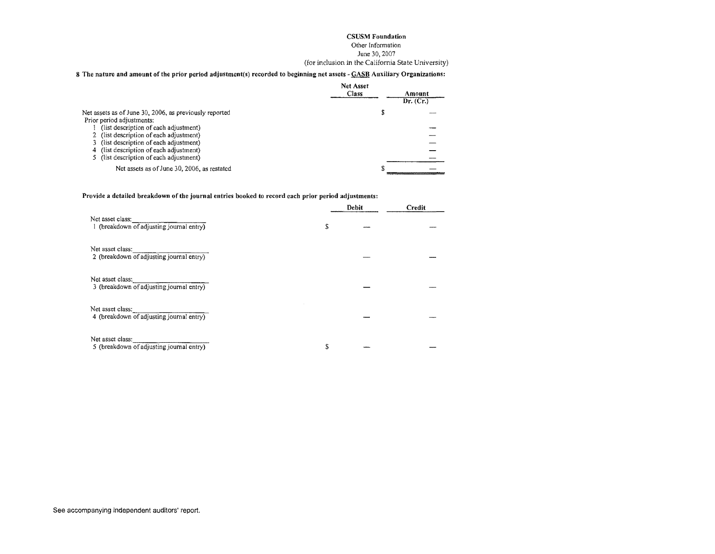#### Other Information June 30, 2007

#### (for inclusion in the California State University)

#### 8 The nature and amount of the prior period adjustment(s) recorded to beginning net assets - GASB Auxiliary Organizations:

|                                                        | <b>Net Asset</b><br>Class | Amount<br>Dr. (Cr.) |
|--------------------------------------------------------|---------------------------|---------------------|
| Net assets as of June 30, 2006, as previously reported |                           |                     |
| Prior period adjustments:                              |                           |                     |
| (list description of each adjustment)                  |                           |                     |
| (list description of each adjustment)                  |                           |                     |
| (list description of each adjustment)                  |                           |                     |
| (list description of each adjustment)<br>4             |                           |                     |
| (list description of each adjustment)                  |                           |                     |
|                                                        |                           |                     |
| Net assets as of June 30, 2006, as restated            |                           |                     |
|                                                        |                           |                     |

#### Provide a detailed breakdown of the journal entries booked to record each prior period adjustments:

|                                                              |    | Debit | Credit |
|--------------------------------------------------------------|----|-------|--------|
| Net asset class:<br>1 (breakdown of adjusting journal entry) | S  |       |        |
| Net asset class:<br>2 (breakdown of adjusting journal entry) |    |       |        |
| Net asset class:<br>3 (breakdown of adjusting journal entry) |    |       |        |
| Net asset class:<br>4 (breakdown of adjusting journal entry) |    |       |        |
| Net asset class:<br>5 (breakdown of adjusting journal entry) | S. |       |        |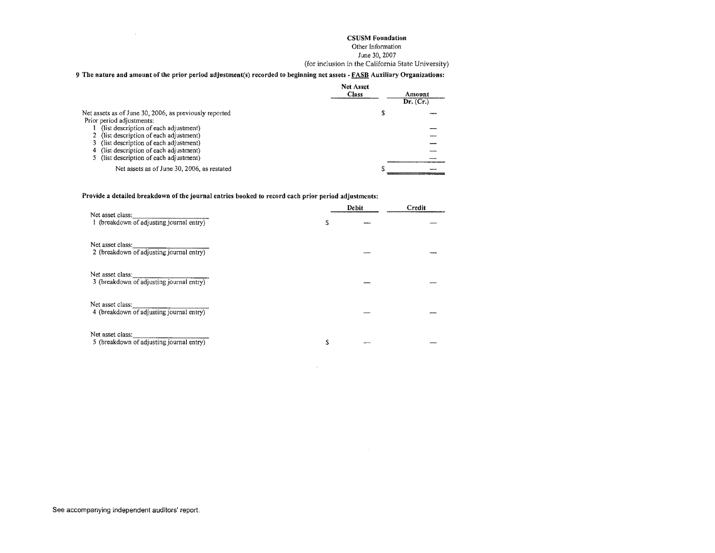#### Other lnfonnation June 30, 2007 (for inclusion in the California State University)

#### 9 The nature and amount of the prior period adjustment(s) recorded to beginning net assets - FASB Auxiliary Organizations:

|                                                                                     | <b>Net Asset</b><br>Class | Amount<br>Dr. (Cr.) |
|-------------------------------------------------------------------------------------|---------------------------|---------------------|
| Net assets as of June 30, 2006, as previously reported<br>Prior period adjustments: |                           |                     |
| (list description of each adjustment)                                               |                           |                     |
| (list description of each adjustment)<br>3 (list description of each adjustment)    |                           |                     |
| (list description of each adjustment)<br>4                                          |                           |                     |
| (list description of each adjustment)                                               |                           |                     |
| Net assets as of June 30, 2006, as restated                                         |                           |                     |

#### Provide a detailed breakdown of the journal entries booked to record each prior period adjustments:

|                                                              |   | Debit | Credit |
|--------------------------------------------------------------|---|-------|--------|
| Net asset class;<br>1 (breakdown of adjusting journal entry) | S |       |        |
| Net asset class:<br>2 (breakdown of adjusting journal entry) |   |       |        |
| Net asset class:<br>3 (breakdown of adjusting journal entry) |   |       |        |
| Net asset class:<br>4 (breakdown of adjusting journal entry) |   |       |        |
| Net asset class:<br>5 (breakdown of adjusting journal entry) | S |       |        |

 $\sim$ 

 $\sim$